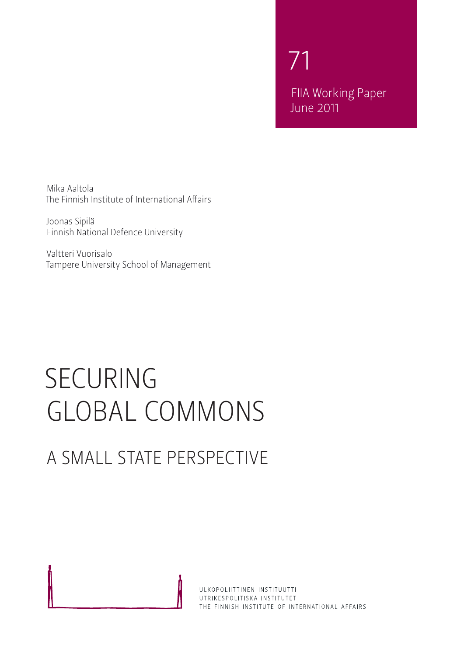71 FIIA Working Paper June 2011

Mika Aaltola The Finnish Institute of International Affairs

Joonas Sipilä Finnish National Defence University

Valtteri Vuorisalo Tampere University School of Management

# SECURING GLOBAL COMMONS

# A SMALL STATE PERSPECTIVE

ULKOPOLIITTINEN INSTITUUTTI UTRIKESPOLITISKA INSTITUTET THE FINNISH INSTITUTE OF INTERNATIONAL AFFAIRS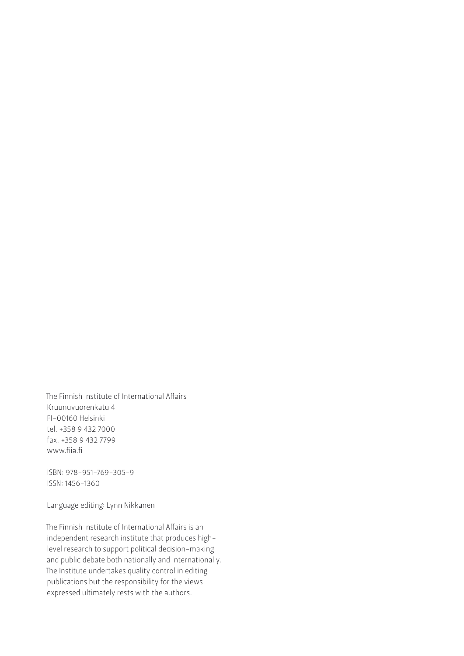The Finnish Institute of International Affairs Kruunuvuorenkatu 4 FI-00160 Helsinki tel. +358 9 432 7000 fax. +358 9 432 7799 www.fiia.fi

ISBN: 978-951-769-305-9 ISSN: 1456-1360

Language editing: Lynn Nikkanen

The Finnish Institute of International Affairs is an independent research institute that produces highlevel research to support political decision-making and public debate both nationally and internationally. The Institute undertakes quality control in editing publications but the responsibility for the views expressed ultimately rests with the authors.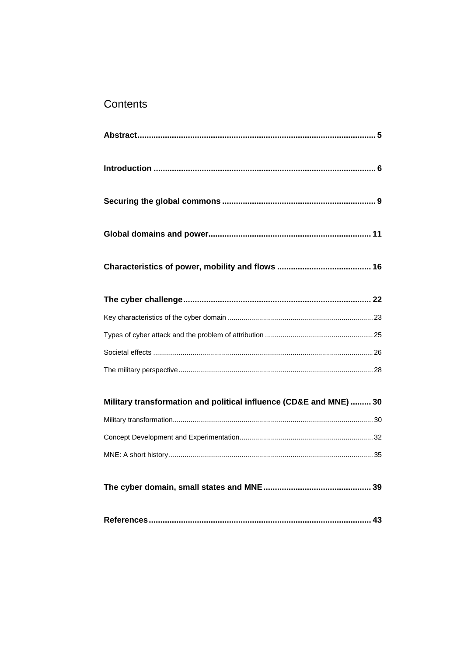## Contents

| Military transformation and political influence (CD&E and MNE)  30 |  |
|--------------------------------------------------------------------|--|
|                                                                    |  |
|                                                                    |  |
|                                                                    |  |
|                                                                    |  |
|                                                                    |  |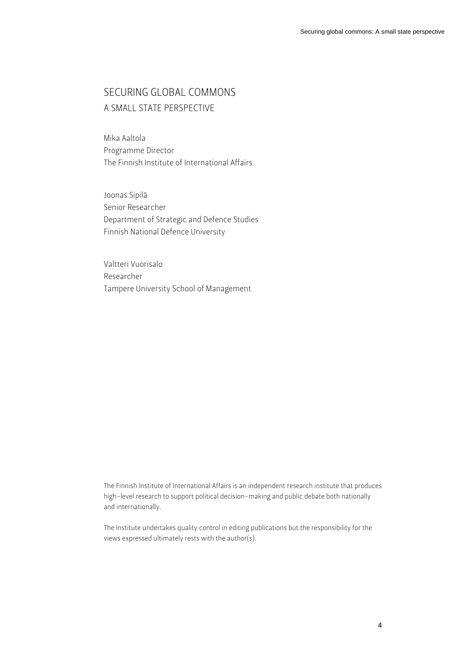### SECURING GLOBAL COMMONS A SMALL STATE PERSPECTIVE

Mika Aaltola Programme Director The Finnish Institute of International Affairs

Joonas Sipilä Senior Researcher Department of Strategic and Defence Studies Finnish National Defence University

Valtteri Vuorisalo Researcher Tampere University School of Management

The Finnish Institute of International Affairs is an independent research institute that produces high-level research to support political decision-making and public debate both nationally and internationally.

The Institute undertakes quality control in editing publications but the responsibility for the views expressed ultimately rests with the author(s).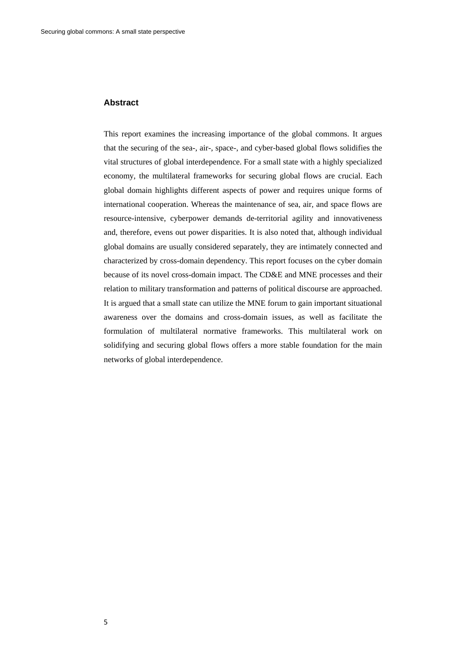#### **Abstract**

This report examines the increasing importance of the global commons. It argues that the securing of the sea-, air-, space-, and cyber-based global flows solidifies the vital structures of global interdependence. For a small state with a highly specialized economy, the multilateral frameworks for securing global flows are crucial. Each global domain highlights different aspects of power and requires unique forms of international cooperation. Whereas the maintenance of sea, air, and space flows are resource-intensive, cyberpower demands de-territorial agility and innovativeness and, therefore, evens out power disparities. It is also noted that, although individual global domains are usually considered separately, they are intimately connected and characterized by cross-domain dependency. This report focuses on the cyber domain because of its novel cross-domain impact. The CD&E and MNE processes and their relation to military transformation and patterns of political discourse are approached. It is argued that a small state can utilize the MNE forum to gain important situational awareness over the domains and cross-domain issues, as well as facilitate the formulation of multilateral normative frameworks. This multilateral work on solidifying and securing global flows offers a more stable foundation for the main networks of global interdependence.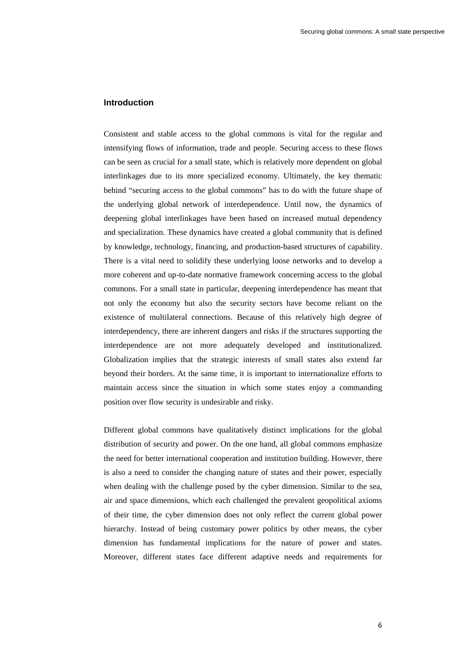#### **Introduction**

Consistent and stable access to the global commons is vital for the regular and intensifying flows of information, trade and people. Securing access to these flows can be seen as crucial for a small state, which is relatively more dependent on global interlinkages due to its more specialized economy. Ultimately, the key thematic behind "securing access to the global commons" has to do with the future shape of the underlying global network of interdependence. Until now, the dynamics of deepening global interlinkages have been based on increased mutual dependency and specialization. These dynamics have created a global community that is defined by knowledge, technology, financing, and production-based structures of capability. There is a vital need to solidify these underlying loose networks and to develop a more coherent and up-to-date normative framework concerning access to the global commons. For a small state in particular, deepening interdependence has meant that not only the economy but also the security sectors have become reliant on the existence of multilateral connections. Because of this relatively high degree of interdependency, there are inherent dangers and risks if the structures supporting the interdependence are not more adequately developed and institutionalized. Globalization implies that the strategic interests of small states also extend far beyond their borders. At the same time, it is important to internationalize efforts to maintain access since the situation in which some states enjoy a commanding position over flow security is undesirable and risky.

Different global commons have qualitatively distinct implications for the global distribution of security and power. On the one hand, all global commons emphasize the need for better international cooperation and institution building. However, there is also a need to consider the changing nature of states and their power, especially when dealing with the challenge posed by the cyber dimension. Similar to the sea, air and space dimensions, which each challenged the prevalent geopolitical axioms of their time, the cyber dimension does not only reflect the current global power hierarchy. Instead of being customary power politics by other means, the cyber dimension has fundamental implications for the nature of power and states. Moreover, different states face different adaptive needs and requirements for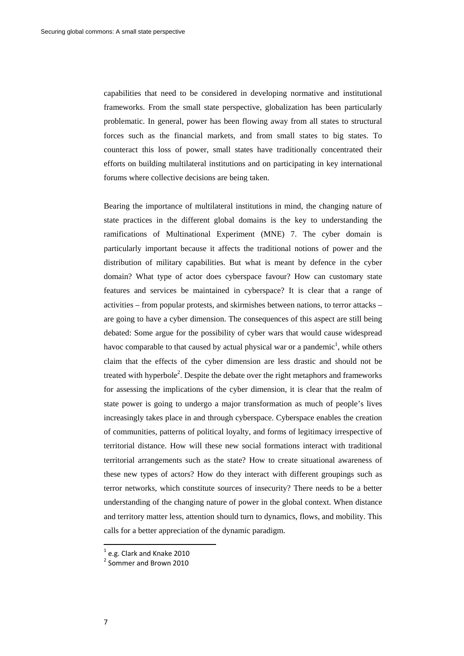capabilities that need to be considered in developing normative and institutional frameworks. From the small state perspective, globalization has been particularly problematic. In general, power has been flowing away from all states to structural forces such as the financial markets, and from small states to big states. To counteract this loss of power, small states have traditionally concentrated their efforts on building multilateral institutions and on participating in key international forums where collective decisions are being taken.

Bearing the importance of multilateral institutions in mind, the changing nature of state practices in the different global domains is the key to understanding the ramifications of Multinational Experiment (MNE) 7. The cyber domain is particularly important because it affects the traditional notions of power and the distribution of military capabilities. But what is meant by defence in the cyber domain? What type of actor does cyberspace favour? How can customary state features and services be maintained in cyberspace? It is clear that a range of activities – from popular protests, and skirmishes between nations, to terror attacks – are going to have a cyber dimension. The consequences of this aspect are still being debated: Some argue for the possibility of cyber wars that would cause widespread havoc comparable to that caused by actual physical war or a pandemic<sup>1</sup>, while others claim that the effects of the cyber dimension are less drastic and should not be treated with hyperbole<sup>2</sup>. Despite the debate over the right metaphors and frameworks for assessing the implications of the cyber dimension, it is clear that the realm of state power is going to undergo a major transformation as much of people's lives increasingly takes place in and through cyberspace. Cyberspace enables the creation of communities, patterns of political loyalty, and forms of legitimacy irrespective of territorial distance. How will these new social formations interact with traditional territorial arrangements such as the state? How to create situational awareness of these new types of actors? How do they interact with different groupings such as terror networks, which constitute sources of insecurity? There needs to be a better understanding of the changing nature of power in the global context. When distance and territory matter less, attention should turn to dynamics, flows, and mobility. This calls for a better appreciation of the dynamic paradigm.

 $^{1}$  e.g. Clark and Knake 2010<br> $^{2}$  Sommer and Brown 2010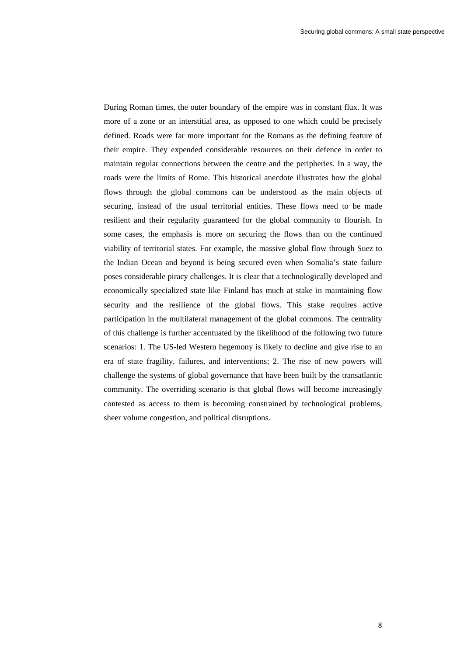During Roman times, the outer boundary of the empire was in constant flux. It was more of a zone or an interstitial area, as opposed to one which could be precisely defined. Roads were far more important for the Romans as the defining feature of their empire. They expended considerable resources on their defence in order to maintain regular connections between the centre and the peripheries. In a way, the roads were the limits of Rome. This historical anecdote illustrates how the global flows through the global commons can be understood as the main objects of securing, instead of the usual territorial entities. These flows need to be made resilient and their regularity guaranteed for the global community to flourish. In some cases, the emphasis is more on securing the flows than on the continued viability of territorial states. For example, the massive global flow through Suez to the Indian Ocean and beyond is being secured even when Somalia's state failure poses considerable piracy challenges. It is clear that a technologically developed and economically specialized state like Finland has much at stake in maintaining flow security and the resilience of the global flows. This stake requires active participation in the multilateral management of the global commons. The centrality of this challenge is further accentuated by the likelihood of the following two future scenarios: 1. The US-led Western hegemony is likely to decline and give rise to an era of state fragility, failures, and interventions; 2. The rise of new powers will challenge the systems of global governance that have been built by the transatlantic community. The overriding scenario is that global flows will become increasingly contested as access to them is becoming constrained by technological problems, sheer volume congestion, and political disruptions.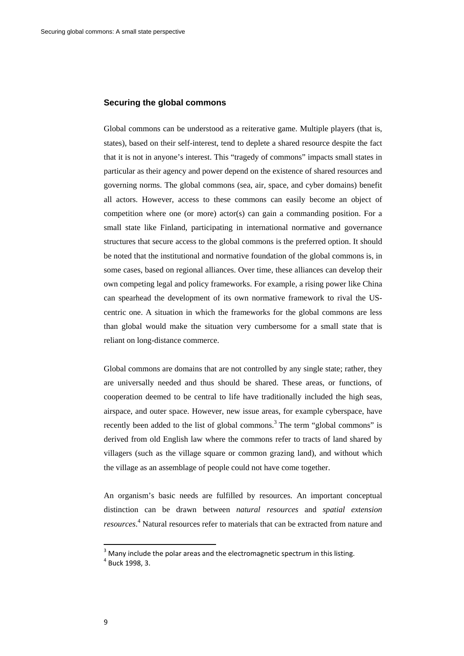#### **Securing the global commons**

Global commons can be understood as a reiterative game. Multiple players (that is, states), based on their self-interest, tend to deplete a shared resource despite the fact that it is not in anyone's interest. This "tragedy of commons" impacts small states in particular as their agency and power depend on the existence of shared resources and governing norms. The global commons (sea, air, space, and cyber domains) benefit all actors. However, access to these commons can easily become an object of competition where one (or more) actor(s) can gain a commanding position. For a small state like Finland, participating in international normative and governance structures that secure access to the global commons is the preferred option. It should be noted that the institutional and normative foundation of the global commons is, in some cases, based on regional alliances. Over time, these alliances can develop their own competing legal and policy frameworks. For example, a rising power like China can spearhead the development of its own normative framework to rival the UScentric one. A situation in which the frameworks for the global commons are less than global would make the situation very cumbersome for a small state that is reliant on long-distance commerce.

Global commons are domains that are not controlled by any single state; rather, they are universally needed and thus should be shared. These areas, or functions, of cooperation deemed to be central to life have traditionally included the high seas, airspace, and outer space. However, new issue areas, for example cyberspace, have recently been added to the list of global commons.<sup>3</sup> The term "global commons" is derived from old English law where the commons refer to tracts of land shared by villagers (such as the village square or common grazing land), and without which the village as an assemblage of people could not have come together.

An organism's basic needs are fulfilled by resources. An important conceptual distinction can be drawn between *natural resources* and *spatial extension resources*. 4 Natural resources refer to materials that can be extracted from nature and

 $3$  Many include the polar areas and the electromagnetic spectrum in this listing.<br> $4$  Buck 1998, 3.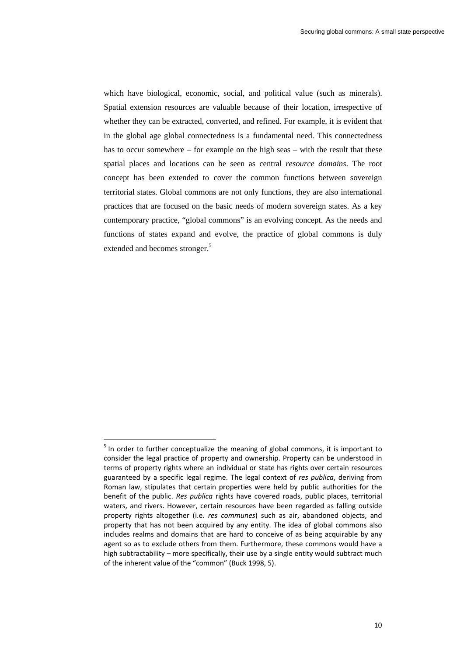which have biological, economic, social, and political value (such as minerals). Spatial extension resources are valuable because of their location, irrespective of whether they can be extracted, converted, and refined. For example, it is evident that in the global age global connectedness is a fundamental need. This connectedness has to occur somewhere – for example on the high seas – with the result that these spatial places and locations can be seen as central *resource domains*. The root concept has been extended to cover the common functions between sovereign territorial states. Global commons are not only functions, they are also international practices that are focused on the basic needs of modern sovereign states. As a key contemporary practice, "global commons" is an evolving concept. As the needs and functions of states expand and evolve, the practice of global commons is duly extended and becomes stronger.<sup>5</sup>

<sup>&</sup>lt;sup>5</sup> In order to further conceptualize the meaning of global commons, it is important to consider the legal practice of property and ownership. Property can be understood in terms of property rights where an individual or state has rights over certain resources guaranteed by a specific legal regime. The legal context of *res publica*, deriving from Roman law, stipulates that certain properties were held by public authorities for the benefit of the public. *Res publica* rights have covered roads, public places, territorial waters, and rivers. However, certain resources have been regarded as falling outside property rights altogether (i.e. *res communes*) such as air, abandoned objects, and property that has not been acquired by any entity. The idea of global commons also includes realms and domains that are hard to conceive of as being acquirable by any agent so as to exclude others from them. Furthermore, these commons would have a high subtractability – more specifically, their use by a single entity would subtract much of the inherent value of the "common" (Buck 1998, 5).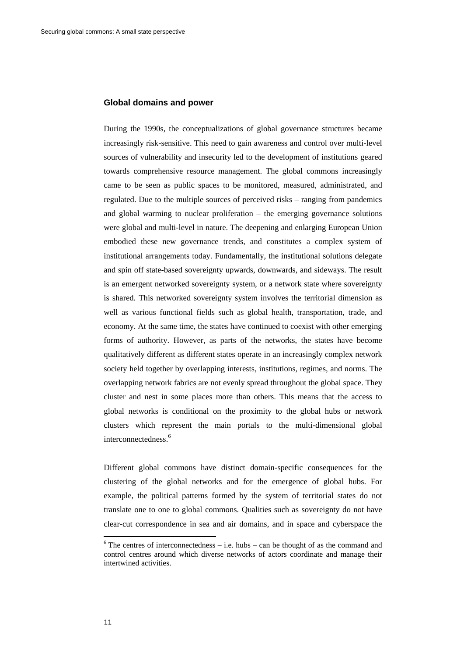#### **Global domains and power**

During the 1990s, the conceptualizations of global governance structures became increasingly risk-sensitive. This need to gain awareness and control over multi-level sources of vulnerability and insecurity led to the development of institutions geared towards comprehensive resource management. The global commons increasingly came to be seen as public spaces to be monitored, measured, administrated, and regulated. Due to the multiple sources of perceived risks – ranging from pandemics and global warming to nuclear proliferation – the emerging governance solutions were global and multi-level in nature. The deepening and enlarging European Union embodied these new governance trends, and constitutes a complex system of institutional arrangements today. Fundamentally, the institutional solutions delegate and spin off state-based sovereignty upwards, downwards, and sideways. The result is an emergent networked sovereignty system, or a network state where sovereignty is shared. This networked sovereignty system involves the territorial dimension as well as various functional fields such as global health, transportation, trade, and economy. At the same time, the states have continued to coexist with other emerging forms of authority. However, as parts of the networks, the states have become qualitatively different as different states operate in an increasingly complex network society held together by overlapping interests, institutions, regimes, and norms. The overlapping network fabrics are not evenly spread throughout the global space. They cluster and nest in some places more than others. This means that the access to global networks is conditional on the proximity to the global hubs or network clusters which represent the main portals to the multi-dimensional global interconnectedness.<sup>6</sup>

Different global commons have distinct domain-specific consequences for the clustering of the global networks and for the emergence of global hubs. For example, the political patterns formed by the system of territorial states do not translate one to one to global commons. Qualities such as sovereignty do not have clear-cut correspondence in sea and air domains, and in space and cyberspace the

 $6$  The centres of interconnectedness – i.e. hubs – can be thought of as the command and control centres around which diverse networks of actors coordinate and manage their intertwined activities.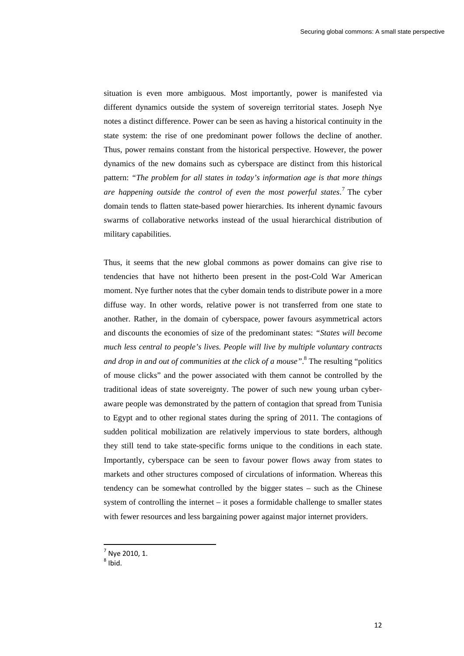situation is even more ambiguous. Most importantly, power is manifested via different dynamics outside the system of sovereign territorial states. Joseph Nye notes a distinct difference. Power can be seen as having a historical continuity in the state system: the rise of one predominant power follows the decline of another. Thus, power remains constant from the historical perspective. However, the power dynamics of the new domains such as cyberspace are distinct from this historical pattern: *"The problem for all states in today's information age is that more things are happening outside the control of even the most powerful states*. 7 The cyber domain tends to flatten state-based power hierarchies. Its inherent dynamic favours swarms of collaborative networks instead of the usual hierarchical distribution of military capabilities.

Thus, it seems that the new global commons as power domains can give rise to tendencies that have not hitherto been present in the post-Cold War American moment. Nye further notes that the cyber domain tends to distribute power in a more diffuse way. In other words, relative power is not transferred from one state to another. Rather, in the domain of cyberspace, power favours asymmetrical actors and discounts the economies of size of the predominant states: *"States will become much less central to people's lives. People will live by multiple voluntary contracts and drop in and out of communities at the click of a mouse"*. 8 The resulting "politics of mouse clicks" and the power associated with them cannot be controlled by the traditional ideas of state sovereignty. The power of such new young urban cyberaware people was demonstrated by the pattern of contagion that spread from Tunisia to Egypt and to other regional states during the spring of 2011. The contagions of sudden political mobilization are relatively impervious to state borders, although they still tend to take state-specific forms unique to the conditions in each state. Importantly, cyberspace can be seen to favour power flows away from states to markets and other structures composed of circulations of information. Whereas this tendency can be somewhat controlled by the bigger states – such as the Chinese system of controlling the internet – it poses a formidable challenge to smaller states with fewer resources and less bargaining power against major internet providers.

 $^7$  Nye 2010, 1.<br><sup>8</sup> Ibid.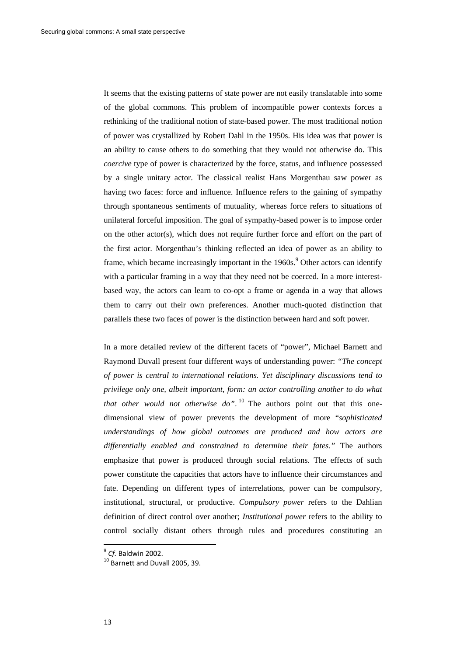It seems that the existing patterns of state power are not easily translatable into some of the global commons. This problem of incompatible power contexts forces a rethinking of the traditional notion of state-based power. The most traditional notion of power was crystallized by Robert Dahl in the 1950s. His idea was that power is an ability to cause others to do something that they would not otherwise do. This *coercive* type of power is characterized by the force, status, and influence possessed by a single unitary actor. The classical realist Hans Morgenthau saw power as having two faces: force and influence. Influence refers to the gaining of sympathy through spontaneous sentiments of mutuality, whereas force refers to situations of unilateral forceful imposition. The goal of sympathy-based power is to impose order on the other actor(s), which does not require further force and effort on the part of the first actor. Morgenthau's thinking reflected an idea of power as an ability to frame, which became increasingly important in the  $1960s$ .<sup>9</sup> Other actors can identify with a particular framing in a way that they need not be coerced. In a more interestbased way, the actors can learn to co-opt a frame or agenda in a way that allows them to carry out their own preferences. Another much-quoted distinction that parallels these two faces of power is the distinction between hard and soft power.

In a more detailed review of the different facets of "power", Michael Barnett and Raymond Duvall present four different ways of understanding power: *"The concept of power is central to international relations. Yet disciplinary discussions tend to privilege only one, albeit important, form: an actor controlling another to do what that other would not otherwise do"*. 10 The authors point out that this onedimensional view of power prevents the development of more "*sophisticated understandings of how global outcomes are produced and how actors are differentially enabled and constrained to determine their fates."* The authors emphasize that power is produced through social relations. The effects of such power constitute the capacities that actors have to influence their circumstances and fate. Depending on different types of interrelations, power can be compulsory, institutional, structural, or productive. *Compulsory power* refers to the Dahlian definition of direct control over another; *Institutional power* refers to the ability to control socially distant others through rules and procedures constituting an

 $^{9}$  *Cf.* Baldwin 2002.<br><sup>10</sup> Barnett and Duvall 2005, 39.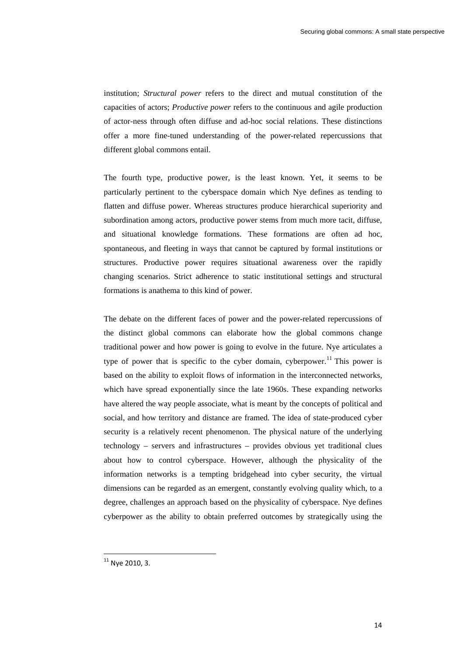institution; *Structural power* refers to the direct and mutual constitution of the capacities of actors; *Productive power* refers to the continuous and agile production of actor-ness through often diffuse and ad-hoc social relations. These distinctions offer a more fine-tuned understanding of the power-related repercussions that different global commons entail.

The fourth type, productive power, is the least known. Yet, it seems to be particularly pertinent to the cyberspace domain which Nye defines as tending to flatten and diffuse power. Whereas structures produce hierarchical superiority and subordination among actors, productive power stems from much more tacit, diffuse, and situational knowledge formations. These formations are often ad hoc, spontaneous, and fleeting in ways that cannot be captured by formal institutions or structures. Productive power requires situational awareness over the rapidly changing scenarios. Strict adherence to static institutional settings and structural formations is anathema to this kind of power.

The debate on the different faces of power and the power-related repercussions of the distinct global commons can elaborate how the global commons change traditional power and how power is going to evolve in the future. Nye articulates a type of power that is specific to the cyber domain, cyberpower.<sup>11</sup> This power is based on the ability to exploit flows of information in the interconnected networks, which have spread exponentially since the late 1960s. These expanding networks have altered the way people associate, what is meant by the concepts of political and social, and how territory and distance are framed. The idea of state-produced cyber security is a relatively recent phenomenon. The physical nature of the underlying technology – servers and infrastructures – provides obvious yet traditional clues about how to control cyberspace. However, although the physicality of the information networks is a tempting bridgehead into cyber security, the virtual dimensions can be regarded as an emergent, constantly evolving quality which, to a degree, challenges an approach based on the physicality of cyberspace. Nye defines cyberpower as the ability to obtain preferred outcomes by strategically using the

 $11$  Nve 2010, 3.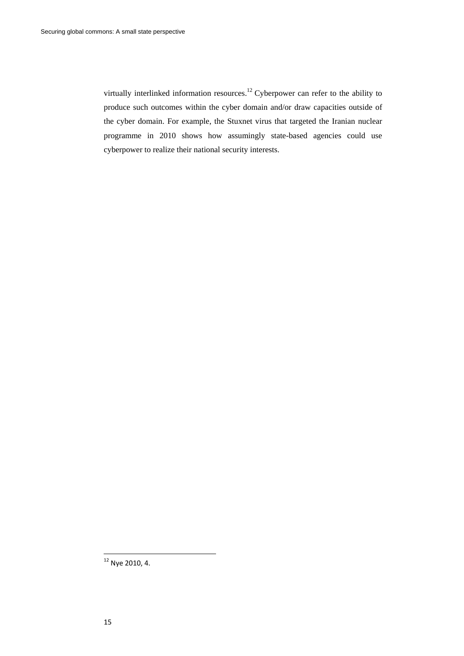virtually interlinked information resources.<sup>12</sup> Cyberpower can refer to the ability to produce such outcomes within the cyber domain and/or draw capacities outside of the cyber domain. For example, the Stuxnet virus that targeted the Iranian nuclear programme in 2010 shows how assumingly state-based agencies could use cyberpower to realize their national security interests.

 $12$  Nye 2010, 4.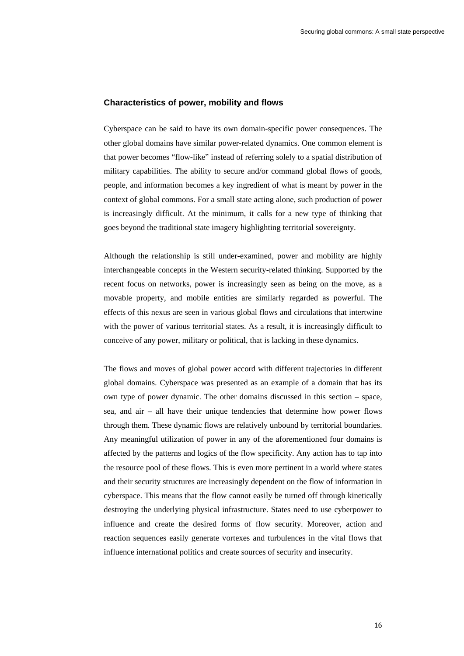#### **Characteristics of power, mobility and flows**

Cyberspace can be said to have its own domain-specific power consequences. The other global domains have similar power-related dynamics. One common element is that power becomes "flow-like" instead of referring solely to a spatial distribution of military capabilities. The ability to secure and/or command global flows of goods, people, and information becomes a key ingredient of what is meant by power in the context of global commons. For a small state acting alone, such production of power is increasingly difficult. At the minimum, it calls for a new type of thinking that goes beyond the traditional state imagery highlighting territorial sovereignty.

Although the relationship is still under-examined, power and mobility are highly interchangeable concepts in the Western security-related thinking. Supported by the recent focus on networks, power is increasingly seen as being on the move, as a movable property, and mobile entities are similarly regarded as powerful. The effects of this nexus are seen in various global flows and circulations that intertwine with the power of various territorial states. As a result, it is increasingly difficult to conceive of any power, military or political, that is lacking in these dynamics.

The flows and moves of global power accord with different trajectories in different global domains. Cyberspace was presented as an example of a domain that has its own type of power dynamic. The other domains discussed in this section – space, sea, and air – all have their unique tendencies that determine how power flows through them. These dynamic flows are relatively unbound by territorial boundaries. Any meaningful utilization of power in any of the aforementioned four domains is affected by the patterns and logics of the flow specificity. Any action has to tap into the resource pool of these flows. This is even more pertinent in a world where states and their security structures are increasingly dependent on the flow of information in cyberspace. This means that the flow cannot easily be turned off through kinetically destroying the underlying physical infrastructure. States need to use cyberpower to influence and create the desired forms of flow security. Moreover, action and reaction sequences easily generate vortexes and turbulences in the vital flows that influence international politics and create sources of security and insecurity.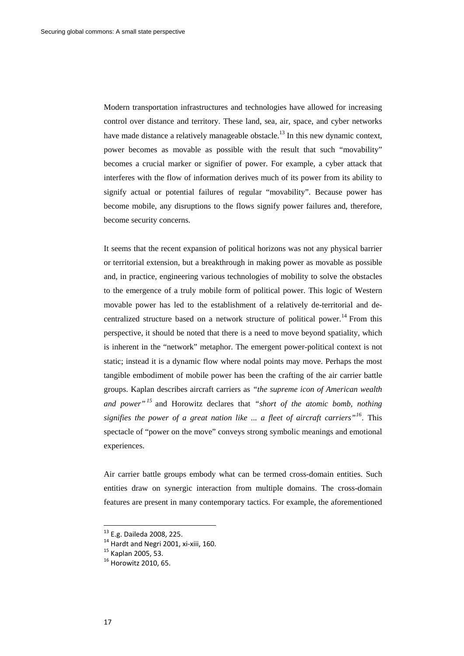Modern transportation infrastructures and technologies have allowed for increasing control over distance and territory. These land, sea, air, space, and cyber networks have made distance a relatively manageable obstacle.<sup>13</sup> In this new dynamic context, power becomes as movable as possible with the result that such "movability" becomes a crucial marker or signifier of power. For example, a cyber attack that interferes with the flow of information derives much of its power from its ability to signify actual or potential failures of regular "movability". Because power has become mobile, any disruptions to the flows signify power failures and, therefore, become security concerns.

It seems that the recent expansion of political horizons was not any physical barrier or territorial extension, but a breakthrough in making power as movable as possible and, in practice, engineering various technologies of mobility to solve the obstacles to the emergence of a truly mobile form of political power. This logic of Western movable power has led to the establishment of a relatively de-territorial and decentralized structure based on a network structure of political power.<sup>14</sup> From this perspective, it should be noted that there is a need to move beyond spatiality, which is inherent in the "network" metaphor. The emergent power-political context is not static; instead it is a dynamic flow where nodal points may move. Perhaps the most tangible embodiment of mobile power has been the crafting of the air carrier battle groups. Kaplan describes aircraft carriers as *"the supreme icon of American wealth and power"<sup>15</sup>* and Horowitz declares that *"short of the atomic bomb, nothing signifies the power of a great nation like ... a fleet of aircraft carriers"16.* This spectacle of "power on the move" conveys strong symbolic meanings and emotional experiences.

Air carrier battle groups embody what can be termed cross-domain entities. Such entities draw on synergic interaction from multiple domains. The cross-domain features are present in many contemporary tactics. For example, the aforementioned

<sup>&</sup>lt;sup>13</sup> E.g. Daileda 2008, 225.<br><sup>14</sup> Hardt and Negri 2001, xi-xiii, 160.<br><sup>15</sup> Kaplan 2005, 53.<br><sup>16</sup> Horowitz 2010, 65.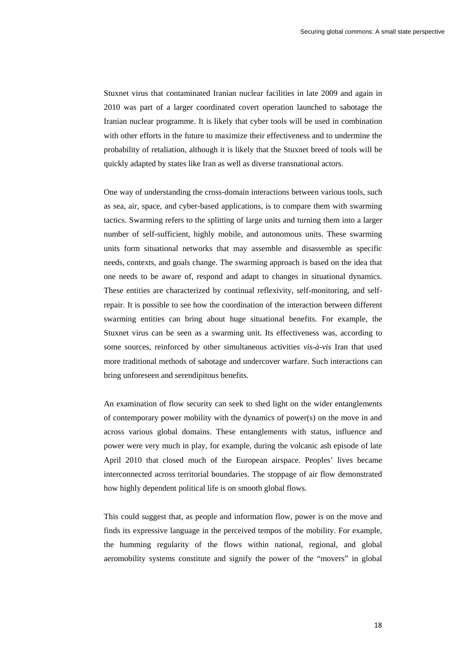Stuxnet virus that contaminated Iranian nuclear facilities in late 2009 and again in 2010 was part of a larger coordinated covert operation launched to sabotage the Iranian nuclear programme. It is likely that cyber tools will be used in combination with other efforts in the future to maximize their effectiveness and to undermine the probability of retaliation, although it is likely that the Stuxnet breed of tools will be quickly adapted by states like Iran as well as diverse transnational actors.

One way of understanding the cross-domain interactions between various tools, such as sea, air, space, and cyber-based applications, is to compare them with swarming tactics. Swarming refers to the splitting of large units and turning them into a larger number of self-sufficient, highly mobile, and autonomous units. These swarming units form situational networks that may assemble and disassemble as specific needs, contexts, and goals change. The swarming approach is based on the idea that one needs to be aware of, respond and adapt to changes in situational dynamics. These entities are characterized by continual reflexivity, self-monitoring, and selfrepair. It is possible to see how the coordination of the interaction between different swarming entities can bring about huge situational benefits. For example, the Stuxnet virus can be seen as a swarming unit. Its effectiveness was, according to some sources, reinforced by other simultaneous activities *vis-à-vis* Iran that used more traditional methods of sabotage and undercover warfare. Such interactions can bring unforeseen and serendipitous benefits.

An examination of flow security can seek to shed light on the wider entanglements of contemporary power mobility with the dynamics of power(s) on the move in and across various global domains. These entanglements with status, influence and power were very much in play, for example, during the volcanic ash episode of late April 2010 that closed much of the European airspace. Peoples' lives became interconnected across territorial boundaries. The stoppage of air flow demonstrated how highly dependent political life is on smooth global flows.

This could suggest that, as people and information flow, power is on the move and finds its expressive language in the perceived tempos of the mobility. For example, the humming regularity of the flows within national, regional, and global aeromobility systems constitute and signify the power of the "movers" in global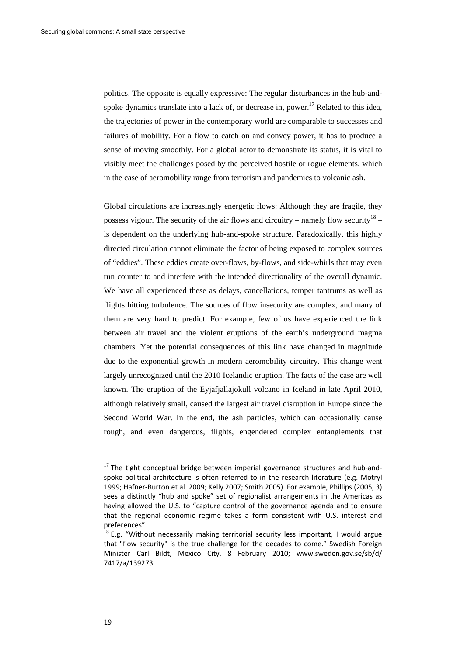politics. The opposite is equally expressive: The regular disturbances in the hub-andspoke dynamics translate into a lack of, or decrease in, power.<sup>17</sup> Related to this idea. the trajectories of power in the contemporary world are comparable to successes and failures of mobility. For a flow to catch on and convey power, it has to produce a sense of moving smoothly. For a global actor to demonstrate its status, it is vital to visibly meet the challenges posed by the perceived hostile or rogue elements, which in the case of aeromobility range from terrorism and pandemics to volcanic ash.

Global circulations are increasingly energetic flows: Although they are fragile, they possess vigour. The security of the air flows and circuitry – namely flow security  $18$  – is dependent on the underlying hub-and-spoke structure. Paradoxically, this highly directed circulation cannot eliminate the factor of being exposed to complex sources of "eddies". These eddies create over-flows, by-flows, and side-whirls that may even run counter to and interfere with the intended directionality of the overall dynamic. We have all experienced these as delays, cancellations, temper tantrums as well as flights hitting turbulence. The sources of flow insecurity are complex, and many of them are very hard to predict. For example, few of us have experienced the link between air travel and the violent eruptions of the earth's underground magma chambers. Yet the potential consequences of this link have changed in magnitude due to the exponential growth in modern aeromobility circuitry. This change went largely unrecognized until the 2010 Icelandic eruption. The facts of the case are well known. The eruption of the Eyjafjallajökull volcano in Iceland in late April 2010, although relatively small, caused the largest air travel disruption in Europe since the Second World War. In the end, the ash particles, which can occasionally cause rough, and even dangerous, flights, engendered complex entanglements that

 $17$  The tight conceptual bridge between imperial governance structures and hub-andspoke political architecture is often referred to in the research literature (e.g. Motryl 1999; Hafner‐Burton et al. 2009; Kelly 2007; Smith 2005). For example, Phillips (2005, 3) sees a distinctly "hub and spoke" set of regionalist arrangements in the Americas as having allowed the U.S. to "capture control of the governance agenda and to ensure that the regional economic regime takes a form consistent with U.S. interest and preferences".

 $^{18}$  E.g. "Without necessarily making territorial security less important, I would argue that "flow security" is the true challenge for the decades to come." Swedish Foreign Minister Carl Bildt, Mexico City, 8 February 2010; www.sweden.gov.se/sb/d/ 7417/a/139273.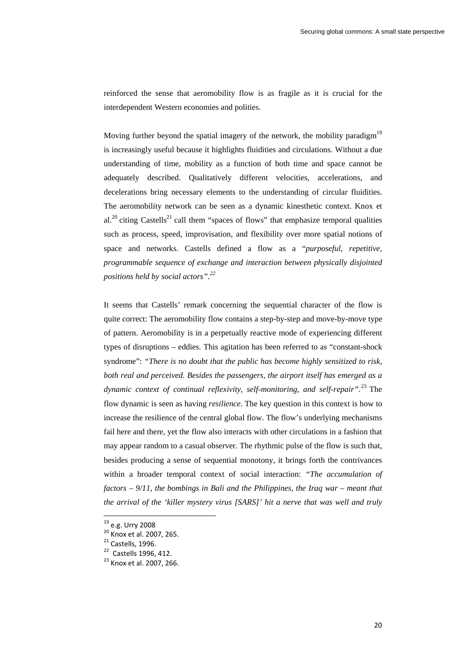reinforced the sense that aeromobility flow is as fragile as it is crucial for the interdependent Western economies and polities.

Moving further beyond the spatial imagery of the network, the mobility paradigm<sup>19</sup> is increasingly useful because it highlights fluidities and circulations. Without a due understanding of time, mobility as a function of both time and space cannot be adequately described. Qualitatively different velocities, accelerations, and decelerations bring necessary elements to the understanding of circular fluidities. The aeromobility network can be seen as a dynamic kinesthetic context. Knox et al.<sup>20</sup> citing Castells<sup>21</sup> call them "spaces of flows" that emphasize temporal qualities such as process, speed, improvisation, and flexibility over more spatial notions of space and networks. Castells defined a flow as a "*purposeful, repetitive, programmable sequence of exchange and interaction between physically disjointed positions held by social actors".22*

It seems that Castells' remark concerning the sequential character of the flow is quite correct: The aeromobility flow contains a step-by-step and move-by-move type of pattern. Aeromobility is in a perpetually reactive mode of experiencing different types of disruptions – eddies. This agitation has been referred to as "constant-shock syndrome": *"There is no doubt that the public has become highly sensitized to risk, both real and perceived. Besides the passengers, the airport itself has emerged as a dynamic context of continual reflexivity, self-monitoring, and self-repair"*. 23 The flow dynamic is seen as having *resilience*. The key question in this context is how to increase the resilience of the central global flow. The flow's underlying mechanisms fail here and there, yet the flow also interacts with other circulations in a fashion that may appear random to a casual observer. The rhythmic pulse of the flow is such that, besides producing a sense of sequential monotony, it brings forth the contrivances within a broader temporal context of social interaction: *"The accumulation of factors – 9/11, the bombings in Bali and the Philippines, the Iraq war – meant that the arrival of the 'killer mystery virus [SARS]' hit a nerve that was well and truly* 

<sup>&</sup>lt;sup>19</sup> e.g. Urry 2008<br><sup>20</sup> Knox et al. 2007, 265.<br><sup>21</sup> Castells, 1996.<br><sup>22</sup> Castells 1996, 412.<br><sup>23</sup> Knox et al. 2007, 266.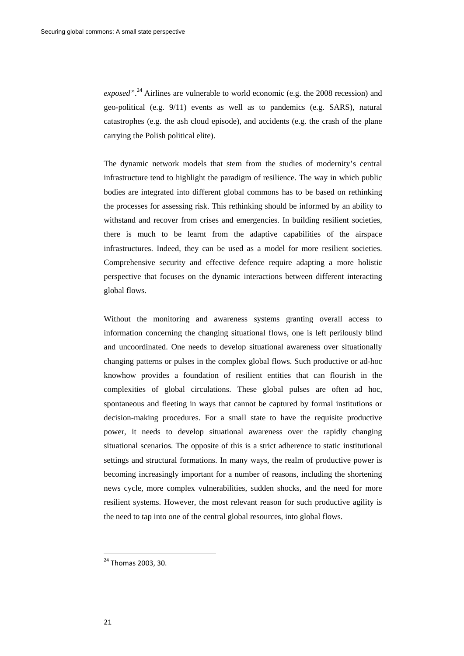exposed".<sup>24</sup> Airlines are vulnerable to world economic (e.g. the 2008 recession) and geo-political (e.g. 9/11) events as well as to pandemics (e.g. SARS), natural catastrophes (e.g. the ash cloud episode), and accidents (e.g. the crash of the plane carrying the Polish political elite).

The dynamic network models that stem from the studies of modernity's central infrastructure tend to highlight the paradigm of resilience. The way in which public bodies are integrated into different global commons has to be based on rethinking the processes for assessing risk. This rethinking should be informed by an ability to withstand and recover from crises and emergencies. In building resilient societies, there is much to be learnt from the adaptive capabilities of the airspace infrastructures. Indeed, they can be used as a model for more resilient societies. Comprehensive security and effective defence require adapting a more holistic perspective that focuses on the dynamic interactions between different interacting global flows.

Without the monitoring and awareness systems granting overall access to information concerning the changing situational flows, one is left perilously blind and uncoordinated. One needs to develop situational awareness over situationally changing patterns or pulses in the complex global flows. Such productive or ad-hoc knowhow provides a foundation of resilient entities that can flourish in the complexities of global circulations. These global pulses are often ad hoc, spontaneous and fleeting in ways that cannot be captured by formal institutions or decision-making procedures. For a small state to have the requisite productive power, it needs to develop situational awareness over the rapidly changing situational scenarios. The opposite of this is a strict adherence to static institutional settings and structural formations. In many ways, the realm of productive power is becoming increasingly important for a number of reasons, including the shortening news cycle, more complex vulnerabilities, sudden shocks, and the need for more resilient systems. However, the most relevant reason for such productive agility is the need to tap into one of the central global resources, into global flows.

<sup>&</sup>lt;sup>24</sup> Thomas 2003, 30.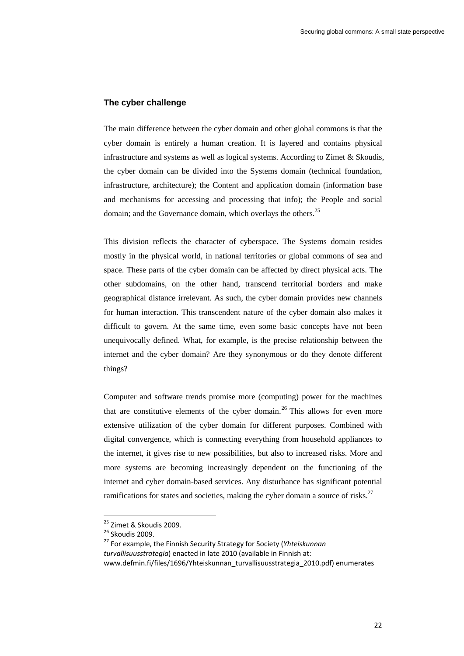#### **The cyber challenge**

The main difference between the cyber domain and other global commons is that the cyber domain is entirely a human creation. It is layered and contains physical infrastructure and systems as well as logical systems. According to Zimet & Skoudis, the cyber domain can be divided into the Systems domain (technical foundation, infrastructure, architecture); the Content and application domain (information base and mechanisms for accessing and processing that info); the People and social domain; and the Governance domain, which overlays the others.<sup>25</sup>

This division reflects the character of cyberspace. The Systems domain resides mostly in the physical world, in national territories or global commons of sea and space. These parts of the cyber domain can be affected by direct physical acts. The other subdomains, on the other hand, transcend territorial borders and make geographical distance irrelevant. As such, the cyber domain provides new channels for human interaction. This transcendent nature of the cyber domain also makes it difficult to govern. At the same time, even some basic concepts have not been unequivocally defined. What, for example, is the precise relationship between the internet and the cyber domain? Are they synonymous or do they denote different things?

Computer and software trends promise more (computing) power for the machines that are constitutive elements of the cyber domain.<sup>26</sup> This allows for even more extensive utilization of the cyber domain for different purposes. Combined with digital convergence, which is connecting everything from household appliances to the internet, it gives rise to new possibilities, but also to increased risks. More and more systems are becoming increasingly dependent on the functioning of the internet and cyber domain-based services. Any disturbance has significant potential ramifications for states and societies, making the cyber domain a source of risks.<sup>27</sup>

<sup>&</sup>lt;sup>25</sup> Zimet & Skoudis 2009.<br><sup>26</sup> Skoudis 2009.<br><sup>27</sup> For example, the Finnish Security Strategy for Society (*Yhteiskunnan turvallisuusstrategia*) enacted in late 2010 (available in Finnish at: www.defmin.fi/files/1696/Yhteiskunnan\_turvallisuusstrategia\_2010.pdf) enumerates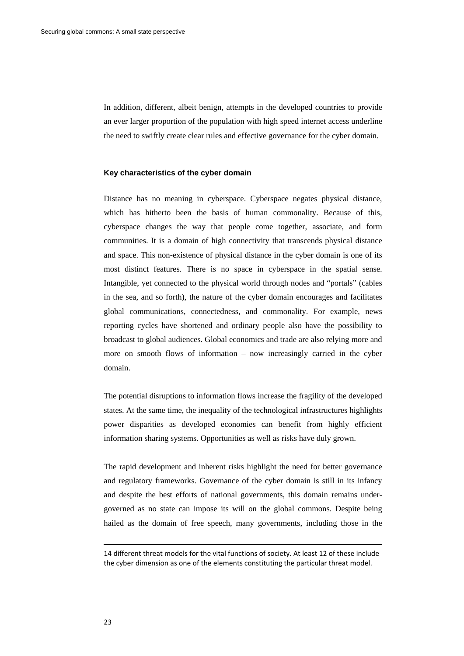In addition, different, albeit benign, attempts in the developed countries to provide an ever larger proportion of the population with high speed internet access underline the need to swiftly create clear rules and effective governance for the cyber domain.

#### **Key characteristics of the cyber domain**

Distance has no meaning in cyberspace. Cyberspace negates physical distance, which has hitherto been the basis of human commonality. Because of this, cyberspace changes the way that people come together, associate, and form communities. It is a domain of high connectivity that transcends physical distance and space. This non-existence of physical distance in the cyber domain is one of its most distinct features. There is no space in cyberspace in the spatial sense. Intangible, yet connected to the physical world through nodes and "portals" (cables in the sea, and so forth), the nature of the cyber domain encourages and facilitates global communications, connectedness, and commonality. For example, news reporting cycles have shortened and ordinary people also have the possibility to broadcast to global audiences. Global economics and trade are also relying more and more on smooth flows of information – now increasingly carried in the cyber domain.

The potential disruptions to information flows increase the fragility of the developed states. At the same time, the inequality of the technological infrastructures highlights power disparities as developed economies can benefit from highly efficient information sharing systems. Opportunities as well as risks have duly grown.

The rapid development and inherent risks highlight the need for better governance and regulatory frameworks. Governance of the cyber domain is still in its infancy and despite the best efforts of national governments, this domain remains undergoverned as no state can impose its will on the global commons. Despite being hailed as the domain of free speech, many governments, including those in the

<sup>&</sup>lt;u> 1989 - Johann Stein, marwolaethau a bhann an t-Amhain an t-Amhain an t-Amhain an t-Amhain an t-Amhain an t-A</u> 14 different threat models for the vital functions of society. At least 12 of these include the cyber dimension as one of the elements constituting the particular threat model.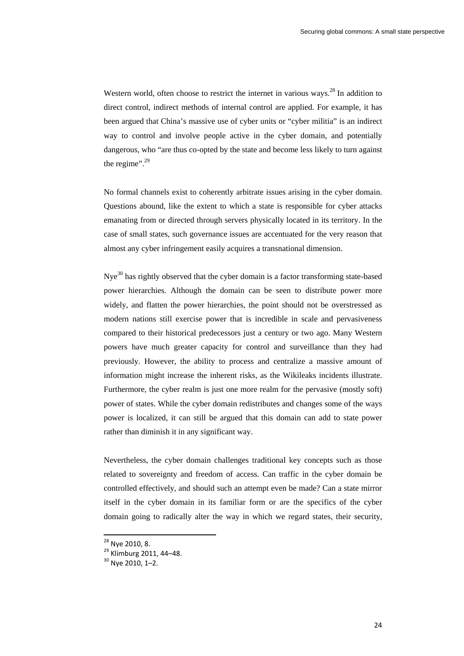Western world, often choose to restrict the internet in various ways.<sup>28</sup> In addition to direct control, indirect methods of internal control are applied. For example, it has been argued that China's massive use of cyber units or "cyber militia" is an indirect way to control and involve people active in the cyber domain, and potentially dangerous, who "are thus co-opted by the state and become less likely to turn against the regime". $^{29}$ 

No formal channels exist to coherently arbitrate issues arising in the cyber domain. Questions abound, like the extent to which a state is responsible for cyber attacks emanating from or directed through servers physically located in its territory. In the case of small states, such governance issues are accentuated for the very reason that almost any cyber infringement easily acquires a transnational dimension.

Nye<sup>30</sup> has rightly observed that the cyber domain is a factor transforming state-based power hierarchies. Although the domain can be seen to distribute power more widely, and flatten the power hierarchies, the point should not be overstressed as modern nations still exercise power that is incredible in scale and pervasiveness compared to their historical predecessors just a century or two ago. Many Western powers have much greater capacity for control and surveillance than they had previously. However, the ability to process and centralize a massive amount of information might increase the inherent risks, as the Wikileaks incidents illustrate. Furthermore, the cyber realm is just one more realm for the pervasive (mostly soft) power of states. While the cyber domain redistributes and changes some of the ways power is localized, it can still be argued that this domain can add to state power rather than diminish it in any significant way.

Nevertheless, the cyber domain challenges traditional key concepts such as those related to sovereignty and freedom of access. Can traffic in the cyber domain be controlled effectively, and should such an attempt even be made? Can a state mirror itself in the cyber domain in its familiar form or are the specifics of the cyber domain going to radically alter the way in which we regard states, their security,

<sup>&</sup>lt;sup>28</sup> Nye 2010, 8.<br><sup>29</sup> Klimburg 2011, 44–48.<br><sup>30</sup> Nve 2010, 1–2.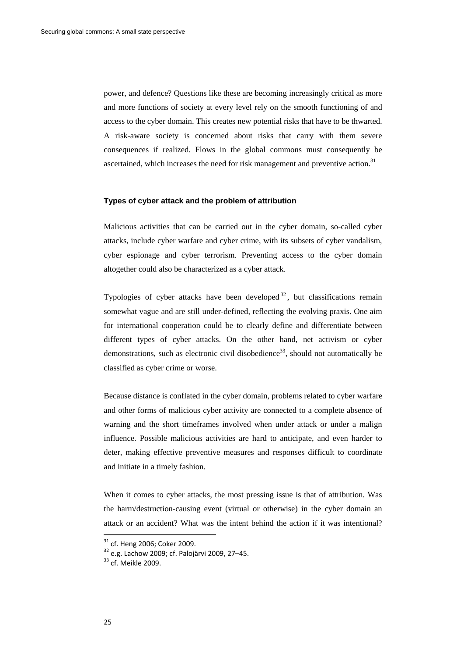power, and defence? Questions like these are becoming increasingly critical as more and more functions of society at every level rely on the smooth functioning of and access to the cyber domain. This creates new potential risks that have to be thwarted. A risk-aware society is concerned about risks that carry with them severe consequences if realized. Flows in the global commons must consequently be ascertained, which increases the need for risk management and preventive action.<sup>31</sup>

#### **Types of cyber attack and the problem of attribution**

Malicious activities that can be carried out in the cyber domain, so-called cyber attacks, include cyber warfare and cyber crime, with its subsets of cyber vandalism, cyber espionage and cyber terrorism. Preventing access to the cyber domain altogether could also be characterized as a cyber attack.

Typologies of cyber attacks have been developed  $32$ , but classifications remain somewhat vague and are still under-defined, reflecting the evolving praxis. One aim for international cooperation could be to clearly define and differentiate between different types of cyber attacks. On the other hand, net activism or cyber demonstrations, such as electronic civil disobedience<sup>33</sup>, should not automatically be classified as cyber crime or worse.

Because distance is conflated in the cyber domain, problems related to cyber warfare and other forms of malicious cyber activity are connected to a complete absence of warning and the short timeframes involved when under attack or under a malign influence. Possible malicious activities are hard to anticipate, and even harder to deter, making effective preventive measures and responses difficult to coordinate and initiate in a timely fashion.

When it comes to cyber attacks, the most pressing issue is that of attribution. Was the harm/destruction-causing event (virtual or otherwise) in the cyber domain an attack or an accident? What was the intent behind the action if it was intentional?

 $31 \text{ of.}$  Heng 2006; Coker 2009.<br> $32 \text{ e.g.}$  Lachow 2009; cf. Palojärvi 2009, 27–45.<br> $33 \text{ of.}$  Meikle 2009.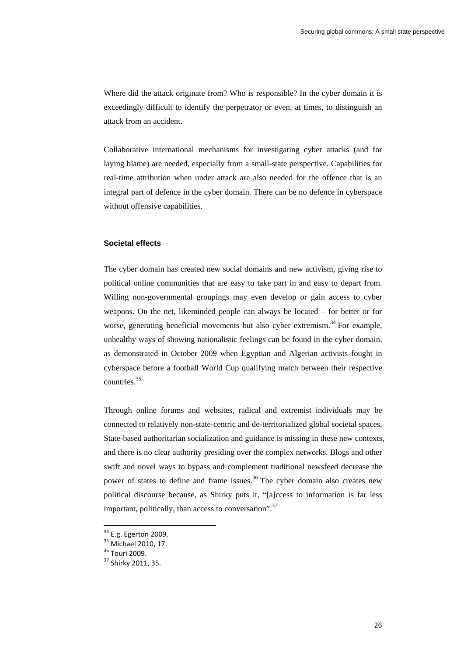Where did the attack originate from? Who is responsible? In the cyber domain it is exceedingly difficult to identify the perpetrator or even, at times, to distinguish an attack from an accident.

Collaborative international mechanisms for investigating cyber attacks (and for laying blame) are needed, especially from a small-state perspective. Capabilities for real-time attribution when under attack are also needed for the offence that is an integral part of defence in the cyber domain. There can be no defence in cyberspace without offensive capabilities.

#### **Societal effects**

The cyber domain has created new social domains and new activism, giving rise to political online communities that are easy to take part in and easy to depart from. Willing non-governmental groupings may even develop or gain access to cyber weapons. On the net, likeminded people can always be located – for better or for worse, generating beneficial movements but also cyber extremism.<sup>34</sup> For example, unhealthy ways of showing nationalistic feelings can be found in the cyber domain, as demonstrated in October 2009 when Egyptian and Algerian activists fought in cyberspace before a football World Cup qualifying match between their respective countries.35

Through online forums and websites, radical and extremist individuals may be connected to relatively non-state-centric and de-territorialized global societal spaces. State-based authoritarian socialization and guidance is missing in these new contexts, and there is no clear authority presiding over the complex networks. Blogs and other swift and novel ways to bypass and complement traditional newsfeed decrease the power of states to define and frame issues.<sup>36</sup> The cyber domain also creates new political discourse because, as Shirky puts it, "[a]ccess to information is far less important, politically, than access to conversation". $37$ 

<sup>&</sup>lt;sup>34</sup> E.g. Egerton 2009.<br><sup>35</sup> Michael 2010, 17.<br><sup>36</sup> Touri 2009.<br><sup>37</sup> Shirky 2011, 35.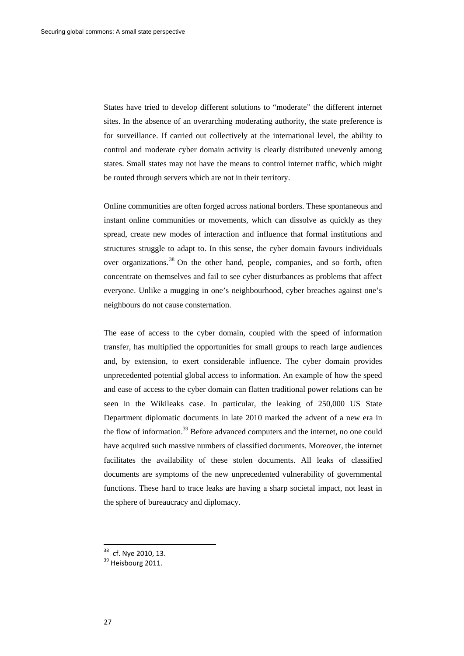States have tried to develop different solutions to "moderate" the different internet sites. In the absence of an overarching moderating authority, the state preference is for surveillance. If carried out collectively at the international level, the ability to control and moderate cyber domain activity is clearly distributed unevenly among states. Small states may not have the means to control internet traffic, which might be routed through servers which are not in their territory.

Online communities are often forged across national borders. These spontaneous and instant online communities or movements, which can dissolve as quickly as they spread, create new modes of interaction and influence that formal institutions and structures struggle to adapt to. In this sense, the cyber domain favours individuals over organizations.<sup>38</sup> On the other hand, people, companies, and so forth, often concentrate on themselves and fail to see cyber disturbances as problems that affect everyone. Unlike a mugging in one's neighbourhood, cyber breaches against one's neighbours do not cause consternation.

The ease of access to the cyber domain, coupled with the speed of information transfer, has multiplied the opportunities for small groups to reach large audiences and, by extension, to exert considerable influence. The cyber domain provides unprecedented potential global access to information. An example of how the speed and ease of access to the cyber domain can flatten traditional power relations can be seen in the Wikileaks case. In particular, the leaking of 250,000 US State Department diplomatic documents in late 2010 marked the advent of a new era in the flow of information.<sup>39</sup> Before advanced computers and the internet, no one could have acquired such massive numbers of classified documents. Moreover, the internet facilitates the availability of these stolen documents. All leaks of classified documents are symptoms of the new unprecedented vulnerability of governmental functions. These hard to trace leaks are having a sharp societal impact, not least in the sphere of bureaucracy and diplomacy.

 $38$  cf. Nye 2010, 13.<br> $39$  Heisbourg 2011.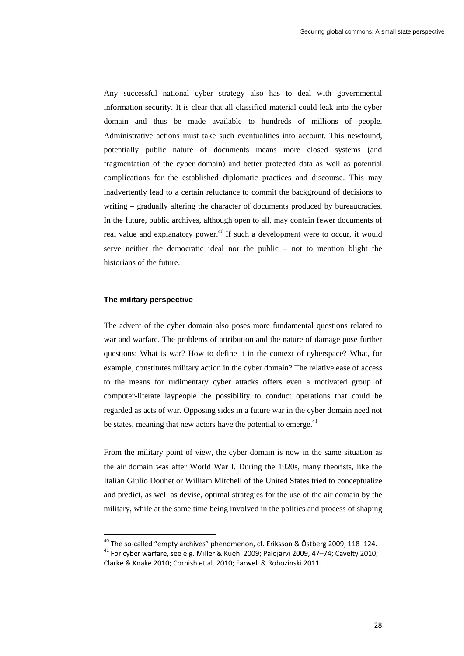Any successful national cyber strategy also has to deal with governmental information security. It is clear that all classified material could leak into the cyber domain and thus be made available to hundreds of millions of people. Administrative actions must take such eventualities into account. This newfound, potentially public nature of documents means more closed systems (and fragmentation of the cyber domain) and better protected data as well as potential complications for the established diplomatic practices and discourse. This may inadvertently lead to a certain reluctance to commit the background of decisions to writing – gradually altering the character of documents produced by bureaucracies. In the future, public archives, although open to all, may contain fewer documents of real value and explanatory power.<sup>40</sup> If such a development were to occur, it would serve neither the democratic ideal nor the public – not to mention blight the historians of the future.

#### **The military perspective**

The advent of the cyber domain also poses more fundamental questions related to war and warfare. The problems of attribution and the nature of damage pose further questions: What is war? How to define it in the context of cyberspace? What, for example, constitutes military action in the cyber domain? The relative ease of access to the means for rudimentary cyber attacks offers even a motivated group of computer-literate laypeople the possibility to conduct operations that could be regarded as acts of war. Opposing sides in a future war in the cyber domain need not be states, meaning that new actors have the potential to emerge.<sup>41</sup>

From the military point of view, the cyber domain is now in the same situation as the air domain was after World War I. During the 1920s, many theorists, like the Italian Giulio Douhet or William Mitchell of the United States tried to conceptualize and predict, as well as devise, optimal strategies for the use of the air domain by the military, while at the same time being involved in the politics and process of shaping

<sup>&</sup>lt;sup>40</sup> The so-called "empty archives" phenomenon, cf. Eriksson & Östberg 2009, 118-124.

 $^{41}$  For cyber warfare, see e.g. Miller & Kuehl 2009; Palojärvi 2009, 47–74; Cavelty 2010; Clarke & Knake 2010; Cornish et al. 2010; Farwell & Rohozinski 2011.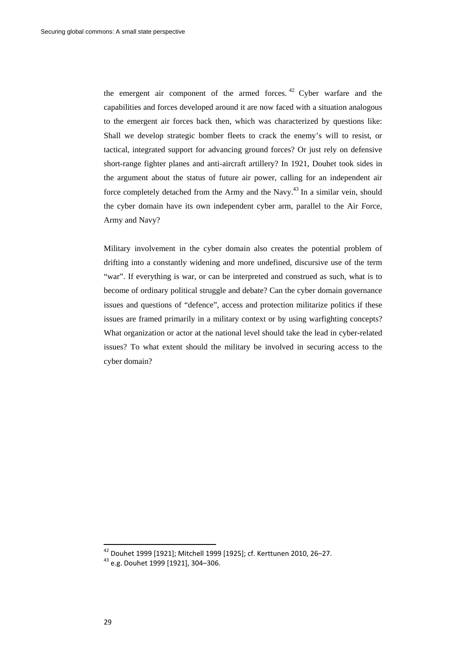the emergent air component of the armed forces.  $42$  Cyber warfare and the capabilities and forces developed around it are now faced with a situation analogous to the emergent air forces back then, which was characterized by questions like: Shall we develop strategic bomber fleets to crack the enemy's will to resist, or tactical, integrated support for advancing ground forces? Or just rely on defensive short-range fighter planes and anti-aircraft artillery? In 1921, Douhet took sides in the argument about the status of future air power, calling for an independent air force completely detached from the Army and the Navy. $^{43}$  In a similar vein, should the cyber domain have its own independent cyber arm, parallel to the Air Force, Army and Navy?

Military involvement in the cyber domain also creates the potential problem of drifting into a constantly widening and more undefined, discursive use of the term "war". If everything is war, or can be interpreted and construed as such, what is to become of ordinary political struggle and debate? Can the cyber domain governance issues and questions of "defence", access and protection militarize politics if these issues are framed primarily in a military context or by using warfighting concepts? What organization or actor at the national level should take the lead in cyber-related issues? To what extent should the military be involved in securing access to the cyber domain?

<sup>&</sup>lt;sup>42</sup> Douhet 1999 [1921]; Mitchell 1999 [1925]; cf. Kerttunen 2010, 26–27.<br><sup>43</sup> e.g. Douhet 1999 [1921], 304–306.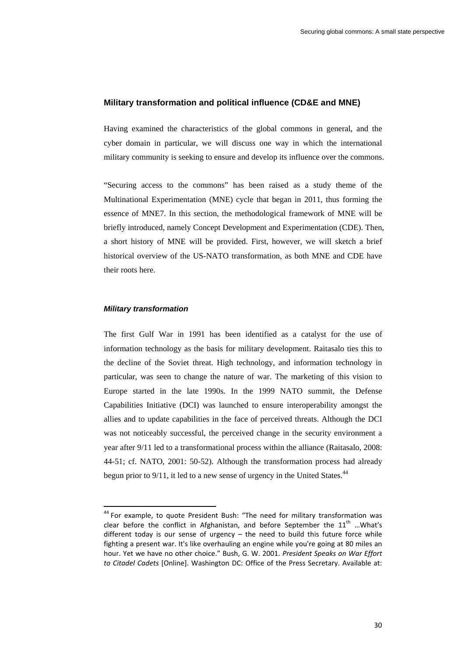#### **Military transformation and political influence (CD&E and MNE)**

Having examined the characteristics of the global commons in general, and the cyber domain in particular, we will discuss one way in which the international military community is seeking to ensure and develop its influence over the commons.

"Securing access to the commons" has been raised as a study theme of the Multinational Experimentation (MNE) cycle that began in 2011, thus forming the essence of MNE7. In this section, the methodological framework of MNE will be briefly introduced, namely Concept Development and Experimentation (CDE). Then, a short history of MNE will be provided. First, however, we will sketch a brief historical overview of the US-NATO transformation, as both MNE and CDE have their roots here.

#### *Military transformation*

The first Gulf War in 1991 has been identified as a catalyst for the use of information technology as the basis for military development. Raitasalo ties this to the decline of the Soviet threat. High technology, and information technology in particular, was seen to change the nature of war. The marketing of this vision to Europe started in the late 1990s. In the 1999 NATO summit, the Defense Capabilities Initiative (DCI) was launched to ensure interoperability amongst the allies and to update capabilities in the face of perceived threats. Although the DCI was not noticeably successful, the perceived change in the security environment a year after 9/11 led to a transformational process within the alliance (Raitasalo, 2008: 44-51; cf. NATO, 2001: 50-52). Although the transformation process had already begun prior to  $9/11$ , it led to a new sense of urgency in the United States.<sup>44</sup>

<sup>&</sup>lt;sup>44</sup> For example, to quote President Bush: "The need for military transformation was clear before the conflict in Afghanistan, and before September the  $11<sup>th</sup>$  ... What's different today is our sense of urgency  $-$  the need to build this future force while fighting a present war. It's like overhauling an engine while you're going at 80 miles an hour. Yet we have no other choice." Bush, G. W. 2001. *President Speaks on War Effort to Citadel Cadets* [Online]. Washington DC: Office of the Press Secretary. Available at: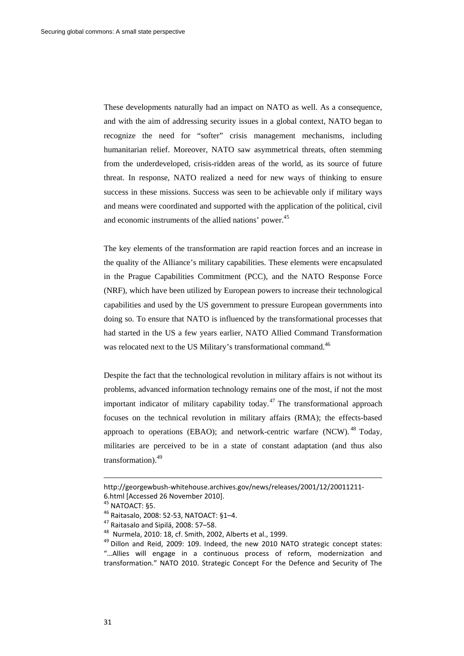These developments naturally had an impact on NATO as well. As a consequence, and with the aim of addressing security issues in a global context, NATO began to recognize the need for "softer" crisis management mechanisms, including humanitarian relief. Moreover, NATO saw asymmetrical threats, often stemming from the underdeveloped, crisis-ridden areas of the world, as its source of future threat. In response, NATO realized a need for new ways of thinking to ensure success in these missions. Success was seen to be achievable only if military ways and means were coordinated and supported with the application of the political, civil and economic instruments of the allied nations' power.<sup>45</sup>

The key elements of the transformation are rapid reaction forces and an increase in the quality of the Alliance's military capabilities. These elements were encapsulated in the Prague Capabilities Commitment (PCC), and the NATO Response Force (NRF), which have been utilized by European powers to increase their technological capabilities and used by the US government to pressure European governments into doing so. To ensure that NATO is influenced by the transformational processes that had started in the US a few years earlier, NATO Allied Command Transformation was relocated next to the US Military's transformational command.<sup>46</sup>

Despite the fact that the technological revolution in military affairs is not without its problems, advanced information technology remains one of the most, if not the most important indicator of military capability today.<sup>47</sup> The transformational approach focuses on the technical revolution in military affairs (RMA); the effects-based approach to operations (EBAO); and network-centric warfare  $(NCW)$ . <sup>48</sup> Today, militaries are perceived to be in a state of constant adaptation (and thus also transformation).49

<u> 1989 - Johann Stein, marwolaethau a bhann an t-Amhain an t-Amhain an t-Amhain an t-Amhain an t-Amhain an t-A</u>

http://georgewbush-whitehouse.archives.gov/news/releases/2001/12/20011211-

<sup>6.</sup>html [Accessed 26 November 2010].<br><sup>45</sup> NATOACT: §5.<br><sup>46</sup> Raitasalo, 2008: 52-53, NATOACT: §1–4.<br><sup>47</sup> Raitasalo and Sipilä, 2008: 57–58.<br><sup>48</sup> Nurmela, 2010: 18, cf. Smith, 2002, Alberts et al., 1999.<br><sup>49</sup> Dillon and Reid "…Allies will engage in a continuous process of reform, modernization and transformation." NATO 2010. Strategic Concept For the Defence and Security of The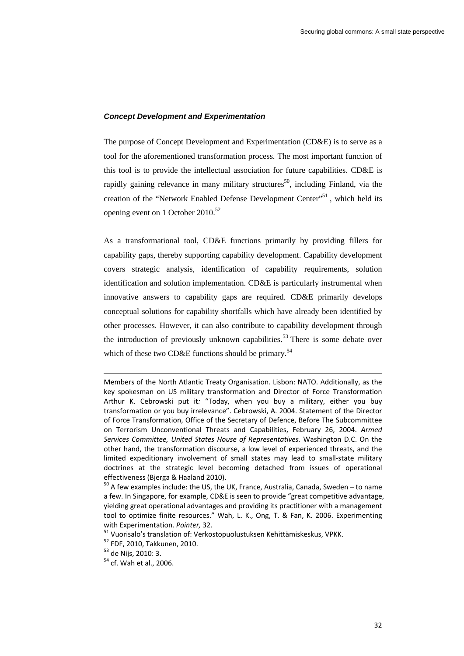#### *Concept Development and Experimentation*

The purpose of Concept Development and Experimentation (CD&E) is to serve as a tool for the aforementioned transformation process. The most important function of this tool is to provide the intellectual association for future capabilities. CD&E is rapidly gaining relevance in many military structures<sup>50</sup>, including Finland, via the creation of the "Network Enabled Defense Development Center"<sup>51</sup>, which held its opening event on 1 October 2010.<sup>52</sup>

As a transformational tool, CD&E functions primarily by providing fillers for capability gaps, thereby supporting capability development. Capability development covers strategic analysis, identification of capability requirements, solution identification and solution implementation. CD&E is particularly instrumental when innovative answers to capability gaps are required. CD&E primarily develops conceptual solutions for capability shortfalls which have already been identified by other processes. However, it can also contribute to capability development through the introduction of previously unknown capabilities.<sup>53</sup> There is some debate over which of these two CD&E functions should be primary.<sup>54</sup>

<u> 1989 - Johann Stein, marwolaethau a bhann an t-Amhain an t-Amhain an t-Amhain an t-Amhain an t-Amhain an t-A</u>

Members of the North Atlantic Treaty Organisation. Lisbon: NATO. Additionally, as the key spokesman on US military transformation and Director of Force Transformation Arthur K. Cebrowski put it*:* "Today, when you buy a military, either you buy transformation or you buy irrelevance". Cebrowski, A. 2004. Statement of the Director of Force Transformation, Office of the Secretary of Defence, Before The Subcommittee on Terrorism Unconventional Threats and Capabilities, February 26, 2004. *Armed Services Committee, United States House of Representatives.* Washington D.C. On the other hand, the transformation discourse, a low level of experienced threats, and the limited expeditionary involvement of small states may lead to small‐state military doctrines at the strategic level becoming detached from issues of operational effectiveness (Bjerga & Haaland 2010).<br><sup>50</sup> A few examples include: the US, the UK, France, Australia, Canada, Sweden – to name

a few. In Singapore, for example, CD&E is seen to provide "great competitive advantage, yielding great operational advantages and providing its practitioner with a management tool to optimize finite resources." Wah, L. K., Ong, T. & Fan, K. 2006. Experimenting with Experimentation. *Pointer*, 32.<br><sup>51</sup> Vuorisalo's translation of: Verkostopuolustuksen Kehittämiskeskus, VPKK.<br><sup>52</sup> FDF, 2010, Takkunen, 2010.<br><sup>53</sup> de Nijs, 2010: 3.<br><sup>54</sup> cf. Wah et al., 2006.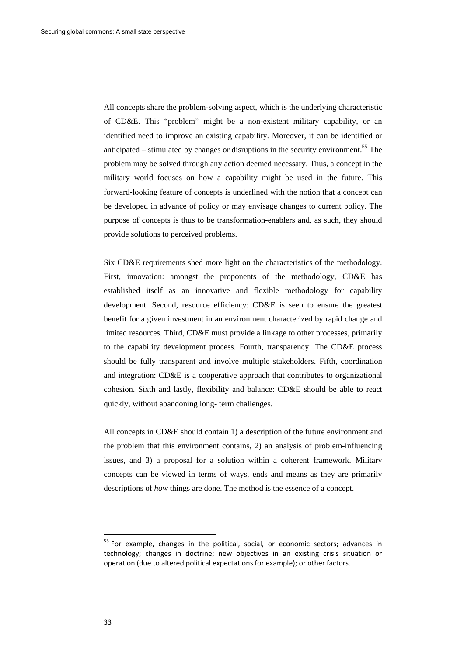All concepts share the problem-solving aspect, which is the underlying characteristic of CD&E. This "problem" might be a non-existent military capability, or an identified need to improve an existing capability. Moreover, it can be identified or anticipated – stimulated by changes or disruptions in the security environment.<sup>55</sup> The problem may be solved through any action deemed necessary. Thus, a concept in the military world focuses on how a capability might be used in the future. This forward-looking feature of concepts is underlined with the notion that a concept can be developed in advance of policy or may envisage changes to current policy. The purpose of concepts is thus to be transformation-enablers and, as such, they should provide solutions to perceived problems.

Six CD&E requirements shed more light on the characteristics of the methodology. First, innovation: amongst the proponents of the methodology, CD&E has established itself as an innovative and flexible methodology for capability development. Second, resource efficiency: CD&E is seen to ensure the greatest benefit for a given investment in an environment characterized by rapid change and limited resources. Third, CD&E must provide a linkage to other processes, primarily to the capability development process. Fourth, transparency: The CD&E process should be fully transparent and involve multiple stakeholders. Fifth, coordination and integration: CD&E is a cooperative approach that contributes to organizational cohesion. Sixth and lastly, flexibility and balance: CD&E should be able to react quickly, without abandoning long- term challenges.

All concepts in CD&E should contain 1) a description of the future environment and the problem that this environment contains, 2) an analysis of problem-influencing issues, and 3) a proposal for a solution within a coherent framework. Military concepts can be viewed in terms of ways, ends and means as they are primarily descriptions of *how* things are done. The method is the essence of a concept.

 $55$  For example, changes in the political, social, or economic sectors; advances in technology; changes in doctrine; new objectives in an existing crisis situation or operation (due to altered political expectations for example); or other factors.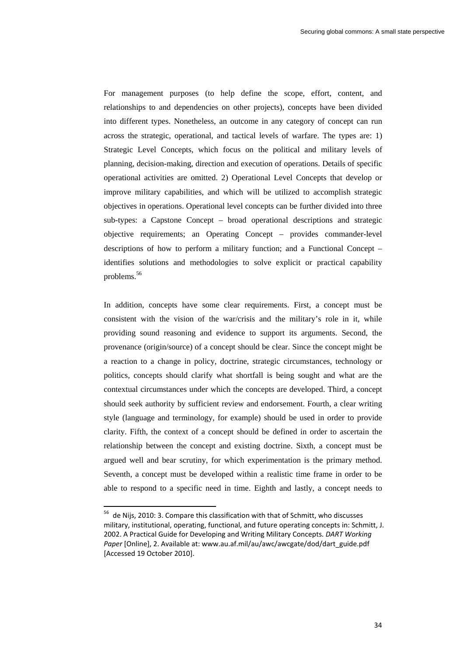For management purposes (to help define the scope, effort, content, and relationships to and dependencies on other projects), concepts have been divided into different types. Nonetheless, an outcome in any category of concept can run across the strategic, operational, and tactical levels of warfare. The types are: 1) Strategic Level Concepts, which focus on the political and military levels of planning, decision-making, direction and execution of operations. Details of specific operational activities are omitted. 2) Operational Level Concepts that develop or improve military capabilities, and which will be utilized to accomplish strategic objectives in operations. Operational level concepts can be further divided into three sub-types: a Capstone Concept – broad operational descriptions and strategic objective requirements; an Operating Concept – provides commander-level descriptions of how to perform a military function; and a Functional Concept – identifies solutions and methodologies to solve explicit or practical capability problems.<sup>56</sup>

In addition, concepts have some clear requirements. First, a concept must be consistent with the vision of the war/crisis and the military's role in it, while providing sound reasoning and evidence to support its arguments. Second, the provenance (origin/source) of a concept should be clear. Since the concept might be a reaction to a change in policy, doctrine, strategic circumstances, technology or politics, concepts should clarify what shortfall is being sought and what are the contextual circumstances under which the concepts are developed. Third, a concept should seek authority by sufficient review and endorsement. Fourth, a clear writing style (language and terminology, for example) should be used in order to provide clarity. Fifth, the context of a concept should be defined in order to ascertain the relationship between the concept and existing doctrine. Sixth, a concept must be argued well and bear scrutiny, for which experimentation is the primary method. Seventh, a concept must be developed within a realistic time frame in order to be able to respond to a specific need in time. Eighth and lastly, a concept needs to

 $^{56}$  de Nijs, 2010: 3. Compare this classification with that of Schmitt, who discusses military, institutional, operating, functional, and future operating concepts in: Schmitt, J. 2002. A Practical Guide for Developing and Writing Military Concepts. *DART Working Paper* [Online], 2. Available at: www.au.af.mil/au/awc/awcgate/dod/dart\_guide.pdf [Accessed 19 October 2010].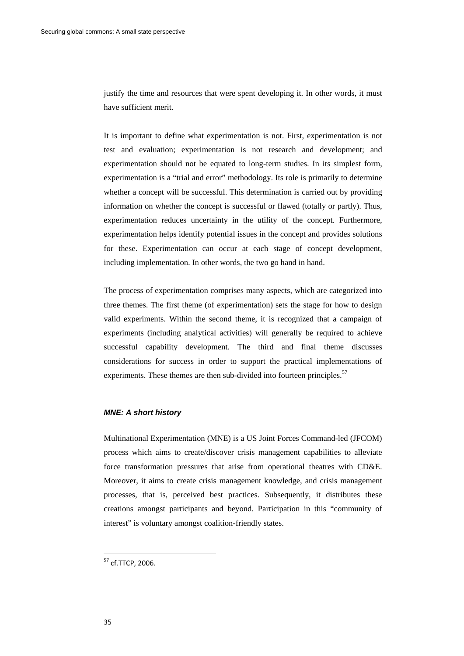justify the time and resources that were spent developing it. In other words, it must have sufficient merit.

It is important to define what experimentation is not. First, experimentation is not test and evaluation; experimentation is not research and development; and experimentation should not be equated to long-term studies. In its simplest form, experimentation is a "trial and error" methodology. Its role is primarily to determine whether a concept will be successful. This determination is carried out by providing information on whether the concept is successful or flawed (totally or partly). Thus, experimentation reduces uncertainty in the utility of the concept. Furthermore, experimentation helps identify potential issues in the concept and provides solutions for these. Experimentation can occur at each stage of concept development, including implementation. In other words, the two go hand in hand.

The process of experimentation comprises many aspects, which are categorized into three themes. The first theme (of experimentation) sets the stage for how to design valid experiments. Within the second theme, it is recognized that a campaign of experiments (including analytical activities) will generally be required to achieve successful capability development. The third and final theme discusses considerations for success in order to support the practical implementations of experiments. These themes are then sub-divided into fourteen principles.<sup>57</sup>

#### *MNE: A short history*

Multinational Experimentation (MNE) is a US Joint Forces Command-led (JFCOM) process which aims to create/discover crisis management capabilities to alleviate force transformation pressures that arise from operational theatres with CD&E. Moreover, it aims to create crisis management knowledge, and crisis management processes, that is, perceived best practices. Subsequently, it distributes these creations amongst participants and beyond. Participation in this "community of interest" is voluntary amongst coalition-friendly states.

<sup>&</sup>lt;sup>57</sup> cf.TTCP, 2006.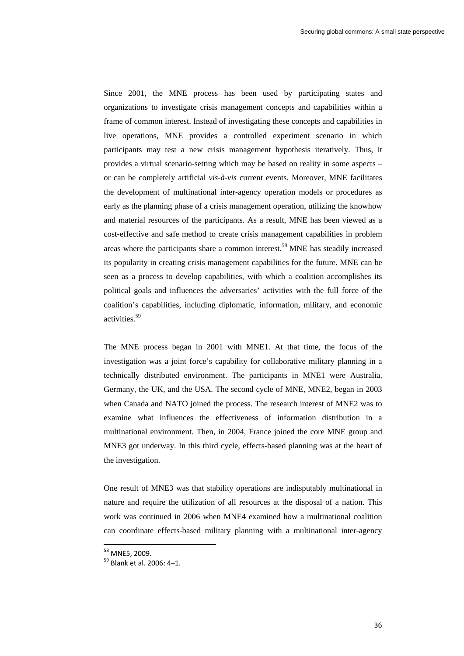Since 2001, the MNE process has been used by participating states and organizations to investigate crisis management concepts and capabilities within a frame of common interest. Instead of investigating these concepts and capabilities in live operations, MNE provides a controlled experiment scenario in which participants may test a new crisis management hypothesis iteratively. Thus, it provides a virtual scenario-setting which may be based on reality in some aspects – or can be completely artificial *vis-à-vis* current events. Moreover, MNE facilitates the development of multinational inter-agency operation models or procedures as early as the planning phase of a crisis management operation, utilizing the knowhow and material resources of the participants. As a result, MNE has been viewed as a cost-effective and safe method to create crisis management capabilities in problem areas where the participants share a common interest.<sup>58</sup> MNE has steadily increased its popularity in creating crisis management capabilities for the future. MNE can be seen as a process to develop capabilities, with which a coalition accomplishes its political goals and influences the adversaries' activities with the full force of the coalition's capabilities, including diplomatic, information, military, and economic activities.59

The MNE process began in 2001 with MNE1. At that time, the focus of the investigation was a joint force's capability for collaborative military planning in a technically distributed environment. The participants in MNE1 were Australia, Germany, the UK, and the USA. The second cycle of MNE, MNE2, began in 2003 when Canada and NATO joined the process. The research interest of MNE2 was to examine what influences the effectiveness of information distribution in a multinational environment. Then, in 2004, France joined the core MNE group and MNE3 got underway. In this third cycle, effects-based planning was at the heart of the investigation.

One result of MNE3 was that stability operations are indisputably multinational in nature and require the utilization of all resources at the disposal of a nation. This work was continued in 2006 when MNE4 examined how a multinational coalition can coordinate effects-based military planning with a multinational inter-agency

 $^{58}$  MNE5, 2009.<br> $^{59}$  Blank et al. 2006: 4–1.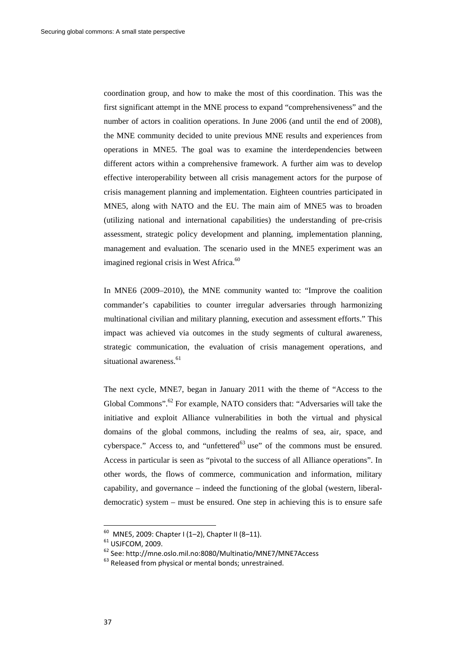coordination group, and how to make the most of this coordination. This was the first significant attempt in the MNE process to expand "comprehensiveness" and the number of actors in coalition operations. In June 2006 (and until the end of 2008), the MNE community decided to unite previous MNE results and experiences from operations in MNE5. The goal was to examine the interdependencies between different actors within a comprehensive framework. A further aim was to develop effective interoperability between all crisis management actors for the purpose of crisis management planning and implementation. Eighteen countries participated in MNE5, along with NATO and the EU. The main aim of MNE5 was to broaden (utilizing national and international capabilities) the understanding of pre-crisis assessment, strategic policy development and planning, implementation planning, management and evaluation. The scenario used in the MNE5 experiment was an imagined regional crisis in West Africa.<sup>60</sup>

In MNE6 (2009–2010), the MNE community wanted to: "Improve the coalition commander's capabilities to counter irregular adversaries through harmonizing multinational civilian and military planning, execution and assessment efforts." This impact was achieved via outcomes in the study segments of cultural awareness, strategic communication, the evaluation of crisis management operations, and situational awareness.<sup>61</sup>

The next cycle, MNE7, began in January 2011 with the theme of "Access to the Global Commons".<sup>62</sup> For example, NATO considers that: "Adversaries will take the initiative and exploit Alliance vulnerabilities in both the virtual and physical domains of the global commons, including the realms of sea, air, space, and cyberspace." Access to, and "unfettered $63$  use" of the commons must be ensured. Access in particular is seen as "pivotal to the success of all Alliance operations". In other words, the flows of commerce, communication and information, military capability, and governance – indeed the functioning of the global (western, liberaldemocratic) system – must be ensured. One step in achieving this is to ensure safe

 $^{60}$  MNE5, 2009: Chapter I (1-2), Chapter II (8-11).

<sup>&</sup>lt;sup>61</sup> USJFCOM, 2009.<br><sup>62</sup> See: http://mne.oslo.mil.no:8080/Multinatio/MNE7/MNE7Access 63 Released from physical or mental bonds; unrestrained.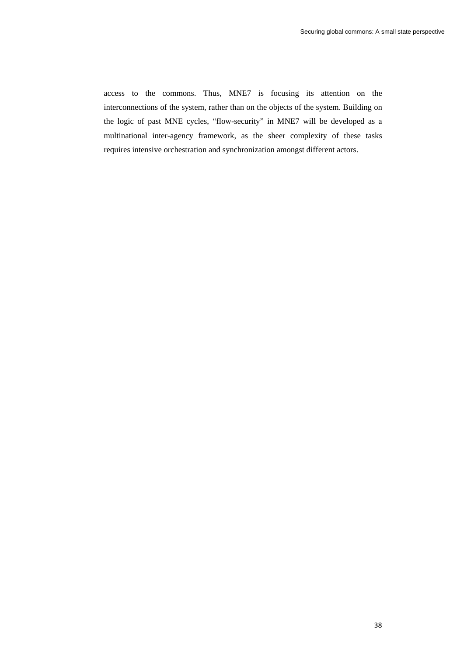access to the commons. Thus, MNE7 is focusing its attention on the interconnections of the system, rather than on the objects of the system. Building on the logic of past MNE cycles, "flow-security" in MNE7 will be developed as a multinational inter-agency framework, as the sheer complexity of these tasks requires intensive orchestration and synchronization amongst different actors.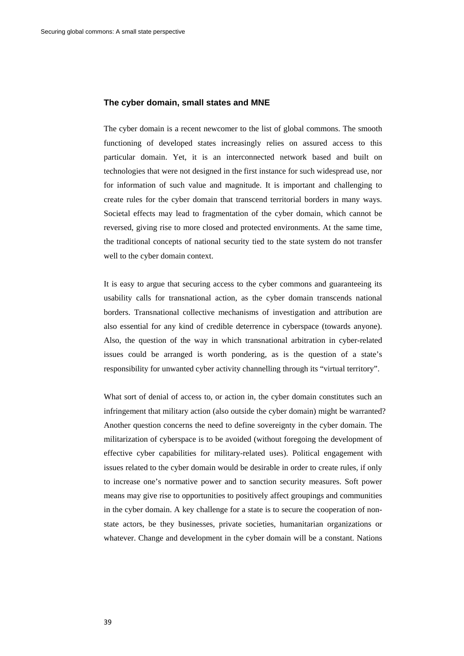#### **The cyber domain, small states and MNE**

The cyber domain is a recent newcomer to the list of global commons. The smooth functioning of developed states increasingly relies on assured access to this particular domain. Yet, it is an interconnected network based and built on technologies that were not designed in the first instance for such widespread use, nor for information of such value and magnitude. It is important and challenging to create rules for the cyber domain that transcend territorial borders in many ways. Societal effects may lead to fragmentation of the cyber domain, which cannot be reversed, giving rise to more closed and protected environments. At the same time, the traditional concepts of national security tied to the state system do not transfer well to the cyber domain context.

It is easy to argue that securing access to the cyber commons and guaranteeing its usability calls for transnational action, as the cyber domain transcends national borders. Transnational collective mechanisms of investigation and attribution are also essential for any kind of credible deterrence in cyberspace (towards anyone). Also, the question of the way in which transnational arbitration in cyber-related issues could be arranged is worth pondering, as is the question of a state's responsibility for unwanted cyber activity channelling through its "virtual territory".

What sort of denial of access to, or action in, the cyber domain constitutes such an infringement that military action (also outside the cyber domain) might be warranted? Another question concerns the need to define sovereignty in the cyber domain. The militarization of cyberspace is to be avoided (without foregoing the development of effective cyber capabilities for military-related uses). Political engagement with issues related to the cyber domain would be desirable in order to create rules, if only to increase one's normative power and to sanction security measures. Soft power means may give rise to opportunities to positively affect groupings and communities in the cyber domain. A key challenge for a state is to secure the cooperation of nonstate actors, be they businesses, private societies, humanitarian organizations or whatever. Change and development in the cyber domain will be a constant. Nations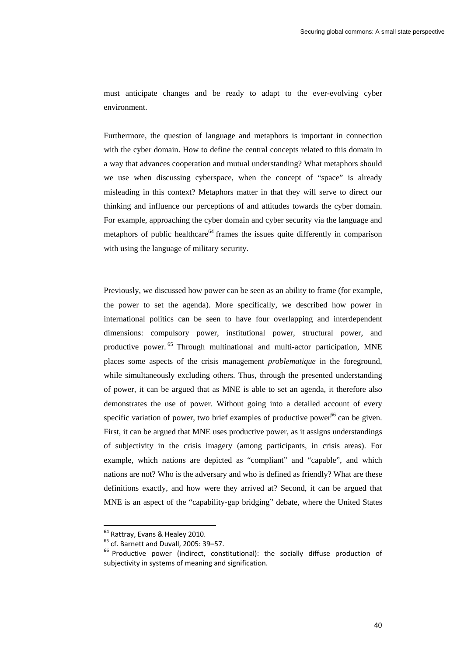must anticipate changes and be ready to adapt to the ever-evolving cyber environment.

Furthermore, the question of language and metaphors is important in connection with the cyber domain. How to define the central concepts related to this domain in a way that advances cooperation and mutual understanding? What metaphors should we use when discussing cyberspace, when the concept of "space" is already misleading in this context? Metaphors matter in that they will serve to direct our thinking and influence our perceptions of and attitudes towards the cyber domain. For example, approaching the cyber domain and cyber security via the language and metaphors of public healthcare<sup>64</sup> frames the issues quite differently in comparison with using the language of military security.

Previously, we discussed how power can be seen as an ability to frame (for example, the power to set the agenda). More specifically, we described how power in international politics can be seen to have four overlapping and interdependent dimensions: compulsory power, institutional power, structural power, and productive power. 65 Through multinational and multi-actor participation, MNE places some aspects of the crisis management *problematique* in the foreground, while simultaneously excluding others. Thus, through the presented understanding of power, it can be argued that as MNE is able to set an agenda, it therefore also demonstrates the use of power. Without going into a detailed account of every specific variation of power, two brief examples of productive power<sup>66</sup> can be given. First, it can be argued that MNE uses productive power, as it assigns understandings of subjectivity in the crisis imagery (among participants, in crisis areas). For example, which nations are depicted as "compliant" and "capable", and which nations are not? Who is the adversary and who is defined as friendly? What are these definitions exactly, and how were they arrived at? Second, it can be argued that MNE is an aspect of the "capability-gap bridging" debate, where the United States

<sup>&</sup>lt;sup>64</sup> Rattray, Evans & Healey 2010.<br><sup>65</sup> cf. Barnett and Duvall, 2005: 39–57.<br><sup>66</sup> Productive power (indirect, constitutional): the socially diffuse production of subjectivity in systems of meaning and signification.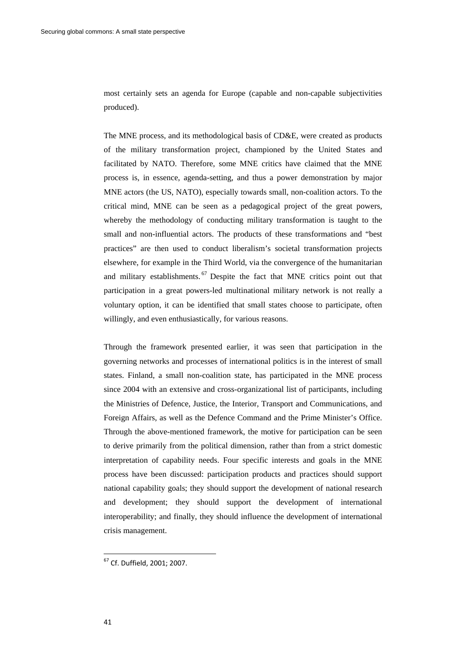most certainly sets an agenda for Europe (capable and non-capable subjectivities produced).

The MNE process, and its methodological basis of CD&E, were created as products of the military transformation project, championed by the United States and facilitated by NATO. Therefore, some MNE critics have claimed that the MNE process is, in essence, agenda-setting, and thus a power demonstration by major MNE actors (the US, NATO), especially towards small, non-coalition actors. To the critical mind, MNE can be seen as a pedagogical project of the great powers, whereby the methodology of conducting military transformation is taught to the small and non-influential actors. The products of these transformations and "best practices" are then used to conduct liberalism's societal transformation projects elsewhere, for example in the Third World, via the convergence of the humanitarian and military establishments.  $67$  Despite the fact that MNE critics point out that participation in a great powers-led multinational military network is not really a voluntary option, it can be identified that small states choose to participate, often willingly, and even enthusiastically, for various reasons.

Through the framework presented earlier, it was seen that participation in the governing networks and processes of international politics is in the interest of small states. Finland, a small non-coalition state, has participated in the MNE process since 2004 with an extensive and cross-organizational list of participants, including the Ministries of Defence, Justice, the Interior, Transport and Communications, and Foreign Affairs, as well as the Defence Command and the Prime Minister's Office. Through the above-mentioned framework, the motive for participation can be seen to derive primarily from the political dimension, rather than from a strict domestic interpretation of capability needs. Four specific interests and goals in the MNE process have been discussed: participation products and practices should support national capability goals; they should support the development of national research and development; they should support the development of international interoperability; and finally, they should influence the development of international crisis management.

<sup>67</sup> Cf. Duffield, 2001; 2007.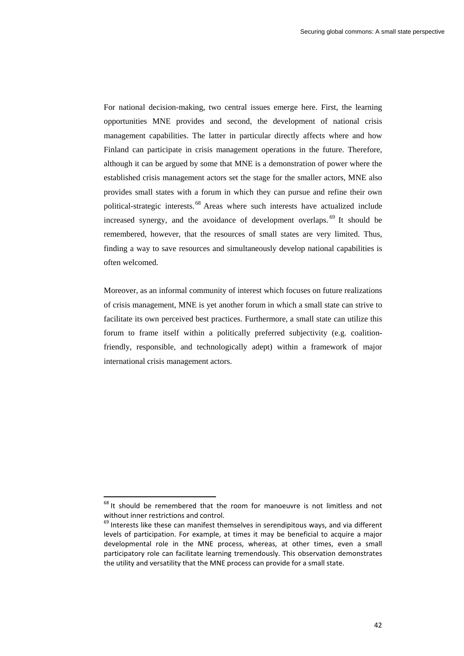For national decision-making, two central issues emerge here. First, the learning opportunities MNE provides and second, the development of national crisis management capabilities. The latter in particular directly affects where and how Finland can participate in crisis management operations in the future. Therefore, although it can be argued by some that MNE is a demonstration of power where the established crisis management actors set the stage for the smaller actors, MNE also provides small states with a forum in which they can pursue and refine their own political-strategic interests. 68 Areas where such interests have actualized include increased synergy, and the avoidance of development overlaps. 69 It should be remembered, however, that the resources of small states are very limited. Thus, finding a way to save resources and simultaneously develop national capabilities is often welcomed.

Moreover, as an informal community of interest which focuses on future realizations of crisis management, MNE is yet another forum in which a small state can strive to facilitate its own perceived best practices. Furthermore, a small state can utilize this forum to frame itself within a politically preferred subjectivity (e.g. coalitionfriendly, responsible, and technologically adept) within a framework of major international crisis management actors.

<sup>&</sup>lt;sup>68</sup> It should be remembered that the room for manoeuvre is not limitless and not without inner restrictions and control.<br><sup>69</sup> Interests like these can manifest themselves in serendipitous ways, and via different

levels of participation. For example, at times it may be beneficial to acquire a major developmental role in the MNE process, whereas, at other times, even a small participatory role can facilitate learning tremendously. This observation demonstrates the utility and versatility that the MNE process can provide for a small state.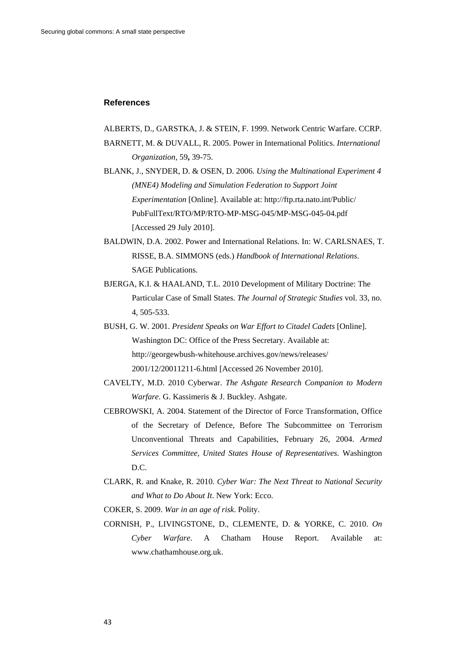#### **References**

- ALBERTS, D., GARSTKA, J. & STEIN, F. 1999. Network Centric Warfare. CCRP.
- BARNETT, M. & DUVALL, R. 2005. Power in International Politics. *International Organization,* 59**,** 39-75.
- BLANK, J., SNYDER, D. & OSEN, D. 2006. *Using the Multinational Experiment 4 (MNE4) Modeling and Simulation Federation to Support Joint Experimentation* [Online]. Available at: http://ftp.rta.nato.int/Public/ PubFullText/RTO/MP/RTO-MP-MSG-045/MP-MSG-045-04.pdf [Accessed 29 July 2010].
- BALDWIN, D.A. 2002. Power and International Relations. In: W. CARLSNAES, T. RISSE, B.A. SIMMONS (eds.) *Handbook of International Relations*. SAGE Publications.
- BJERGA, K.I. & HAALAND, T.L. 2010 Development of Military Doctrine: The Particular Case of Small States. *The Journal of Strategic Studies* vol. 33, no. 4, 505-533.
- BUSH, G. W. 2001. *President Speaks on War Effort to Citadel Cadets* [Online]. Washington DC: Office of the Press Secretary. Available at: http://georgewbush-whitehouse.archives.gov/news/releases/ 2001/12/20011211-6.html [Accessed 26 November 2010].
- CAVELTY, M.D. 2010 Cyberwar. *The Ashgate Research Companion to Modern Warfare*. G. Kassimeris & J. Buckley. Ashgate.
- CEBROWSKI, A. 2004. Statement of the Director of Force Transformation, Office of the Secretary of Defence, Before The Subcommittee on Terrorism Unconventional Threats and Capabilities, February 26, 2004. *Armed Services Committee, United States House of Representatives.* Washington D.C.
- CLARK, R. and Knake, R. 2010. *Cyber War: The Next Threat to National Security and What to Do About It*. New York: Ecco.
- COKER, S. 2009. *War in an age of risk*. Polity.
- CORNISH, P., LIVINGSTONE, D., CLEMENTE, D. & YORKE, C. 2010. *On Cyber Warfare*. A Chatham House Report. Available at: www.chathamhouse.org.uk.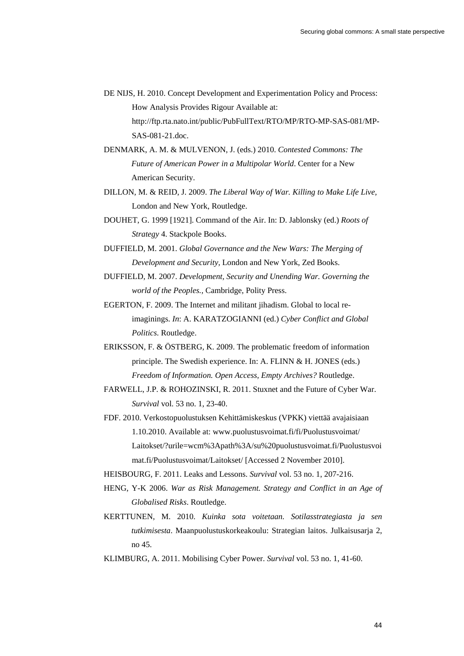DE NIJS, H. 2010. Concept Development and Experimentation Policy and Process: How Analysis Provides Rigour Available at: http://ftp.rta.nato.int/public/PubFullText/RTO/MP/RTO-MP-SAS-081/MP-SAS-081-21.doc.

- DENMARK, A. M. & MULVENON, J. (eds.) 2010. *Contested Commons: The Future of American Power in a Multipolar World*. Center for a New American Security.
- DILLON, M. & REID, J. 2009. *The Liberal Way of War. Killing to Make Life Live,*  London and New York, Routledge.
- DOUHET, G. 1999 [1921]. Command of the Air. In: D. Jablonsky (ed.) *Roots of Strategy* 4. Stackpole Books.
- DUFFIELD, M. 2001. *Global Governance and the New Wars: The Merging of Development and Security,* London and New York, Zed Books.
- DUFFIELD, M. 2007. *Development, Security and Unending War. Governing the world of the Peoples.,* Cambridge, Polity Press.
- EGERTON, F. 2009. The Internet and militant jihadism. Global to local reimaginings. *In*: A. KARATZOGIANNI (ed.) *Cyber Conflict and Global Politics*. Routledge.
- ERIKSSON, F. & ÖSTBERG, K. 2009. The problematic freedom of information principle. The Swedish experience. In: A. FLINN & H. JONES (eds.) *Freedom of Information. Open Access, Empty Archives?* Routledge.
- FARWELL, J.P. & ROHOZINSKI, R. 2011. Stuxnet and the Future of Cyber War. *Survival* vol. 53 no. 1, 23-40.
- FDF. 2010. Verkostopuolustuksen Kehittämiskeskus (VPKK) viettää avajaisiaan 1.10.2010. Available at: www.puolustusvoimat.fi/fi/Puolustusvoimat/ Laitokset/?urile=wcm%3Apath%3A/su%20puolustusvoimat.fi/Puolustusvoi mat.fi/Puolustusvoimat/Laitokset/ [Accessed 2 November 2010].
- HEISBOURG, F. 2011. Leaks and Lessons. *Survival* vol. 53 no. 1, 207-216.
- HENG, Y-K 2006. *War as Risk Management. Strategy and Conflict in an Age of Globalised Risks*. Routledge.
- KERTTUNEN, M. 2010. *Kuinka sota voitetaan. Sotilasstrategiasta ja sen tutkimisesta*. Maanpuolustuskorkeakoulu: Strategian laitos. Julkaisusarja 2, no 45.
- KLIMBURG, A. 2011. Mobilising Cyber Power. *Survival* vol. 53 no. 1, 41-60.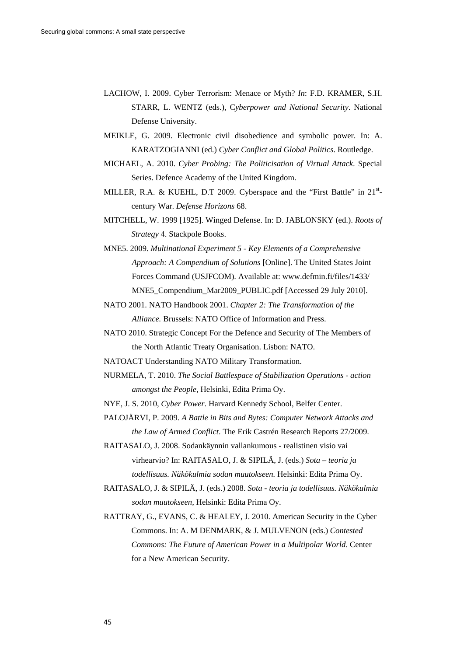- LACHOW, I. 2009. Cyber Terrorism: Menace or Myth? *In*: F.D. KRAMER, S.H. STARR, L. WENTZ (eds.), C*yberpower and National Security*. National Defense University.
- MEIKLE, G. 2009. Electronic civil disobedience and symbolic power. In: A. KARATZOGIANNI (ed.) *Cyber Conflict and Global Politics*. Routledge.
- MICHAEL, A. 2010. *Cyber Probing: The Politicisation of Virtual Attack*. Special Series. Defence Academy of the United Kingdom.
- MILLER, R.A. & KUEHL, D.T 2009. Cyberspace and the "First Battle" in 21<sup>st</sup>century War. *Defense Horizons* 68.
- MITCHELL, W. 1999 [1925]. Winged Defense. In: D. JABLONSKY (ed.). *Roots of Strategy* 4. Stackpole Books.
- MNE5. 2009. *Multinational Experiment 5 Key Elements of a Comprehensive Approach: A Compendium of Solutions* [Online]. The United States Joint Forces Command (USJFCOM). Available at: www.defmin.fi/files/1433/ MNE5\_Compendium\_Mar2009\_PUBLIC.pdf [Accessed 29 July 2010].
- NATO 2001. NATO Handbook 2001. *Chapter 2: The Transformation of the Alliance.* Brussels: NATO Office of Information and Press.
- NATO 2010. Strategic Concept For the Defence and Security of The Members of the North Atlantic Treaty Organisation. Lisbon: NATO.
- NATOACT Understanding NATO Military Transformation.
- NURMELA, T. 2010. *The Social Battlespace of Stabilization Operations action amongst the People,* Helsinki, Edita Prima Oy.
- NYE, J. S. 2010, *Cyber Power*. Harvard Kennedy School, Belfer Center.
- PALOJÄRVI, P. 2009. *A Battle in Bits and Bytes: Computer Network Attacks and the Law of Armed Conflict*. The Erik Castrén Research Reports 27/2009.
- RAITASALO, J. 2008. Sodankäynnin vallankumous realistinen visio vai virhearvio? In: RAITASALO, J. & SIPILÄ, J. (eds.) *Sota – teoria ja todellisuus. Näkökulmia sodan muutokseen.* Helsinki: Edita Prima Oy.
- RAITASALO, J. & SIPILÄ, J. (eds.) 2008. *Sota teoria ja todellisuus. Näkökulmia sodan muutokseen,* Helsinki: Edita Prima Oy.
- RATTRAY, G., EVANS, C. & HEALEY, J. 2010. American Security in the Cyber Commons. In: A. M DENMARK, & J. MULVENON (eds.) *Contested Commons: The Future of American Power in a Multipolar World*. Center for a New American Security.